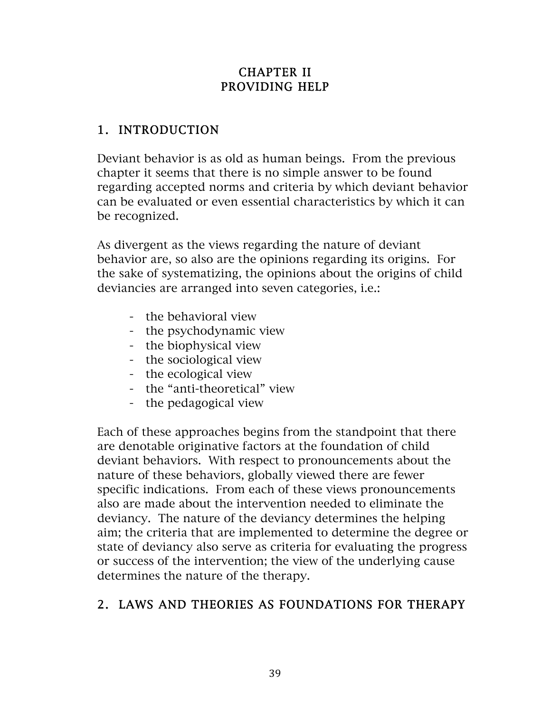### CHAPTER II PROVIDING HELP

### 1. INTRODUCTION

Deviant behavior is as old as human beings. From the previous chapter it seems that there is no simple answer to be found regarding accepted norms and criteria by which deviant behavior can be evaluated or even essential characteristics by which it can be recognized.

As divergent as the views regarding the nature of deviant behavior are, so also are the opinions regarding its origins. For the sake of systematizing, the opinions about the origins of child deviancies are arranged into seven categories, i.e.:

- the behavioral view
- the psychodynamic view
- the biophysical view
- the sociological view
- the ecological view
- the "anti-theoretical" view
- the pedagogical view

Each of these approaches begins from the standpoint that there are denotable originative factors at the foundation of child deviant behaviors. With respect to pronouncements about the nature of these behaviors, globally viewed there are fewer specific indications. From each of these views pronouncements also are made about the intervention needed to eliminate the deviancy. The nature of the deviancy determines the helping aim; the criteria that are implemented to determine the degree or state of deviancy also serve as criteria for evaluating the progress or success of the intervention; the view of the underlying cause determines the nature of the therapy.

# 2. LAWS AND THEORIES AS FOUNDATIONS FOR THERAPY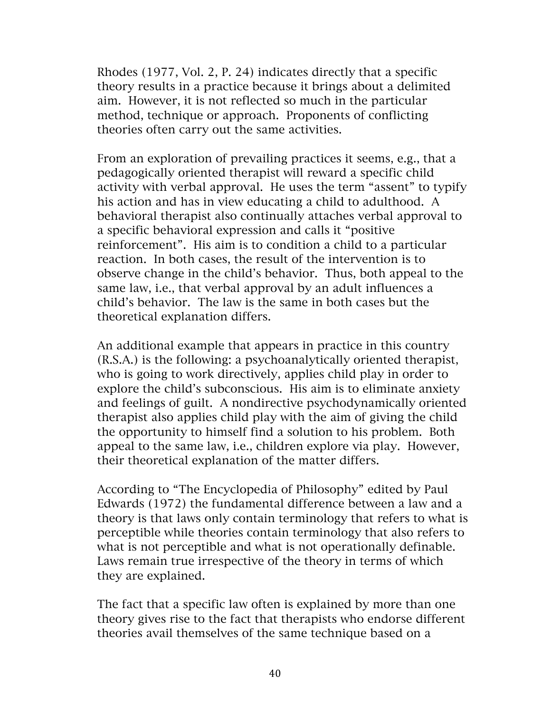Rhodes (1977, Vol. 2, P. 24) indicates directly that a specific theory results in a practice because it brings about a delimited aim. However, it is not reflected so much in the particular method, technique or approach. Proponents of conflicting theories often carry out the same activities.

From an exploration of prevailing practices it seems, e.g., that a pedagogically oriented therapist will reward a specific child activity with verbal approval. He uses the term "assent" to typify his action and has in view educating a child to adulthood. A behavioral therapist also continually attaches verbal approval to a specific behavioral expression and calls it "positive reinforcement". His aim is to condition a child to a particular reaction. In both cases, the result of the intervention is to observe change in the child's behavior. Thus, both appeal to the same law, i.e., that verbal approval by an adult influences a child's behavior. The law is the same in both cases but the theoretical explanation differs.

An additional example that appears in practice in this country (R.S.A.) is the following: a psychoanalytically oriented therapist, who is going to work directively, applies child play in order to explore the child's subconscious. His aim is to eliminate anxiety and feelings of guilt. A nondirective psychodynamically oriented therapist also applies child play with the aim of giving the child the opportunity to himself find a solution to his problem. Both appeal to the same law, i.e., children explore via play. However, their theoretical explanation of the matter differs.

According to "The Encyclopedia of Philosophy" edited by Paul Edwards (1972) the fundamental difference between a law and a theory is that laws only contain terminology that refers to what is perceptible while theories contain terminology that also refers to what is not perceptible and what is not operationally definable. Laws remain true irrespective of the theory in terms of which they are explained.

The fact that a specific law often is explained by more than one theory gives rise to the fact that therapists who endorse different theories avail themselves of the same technique based on a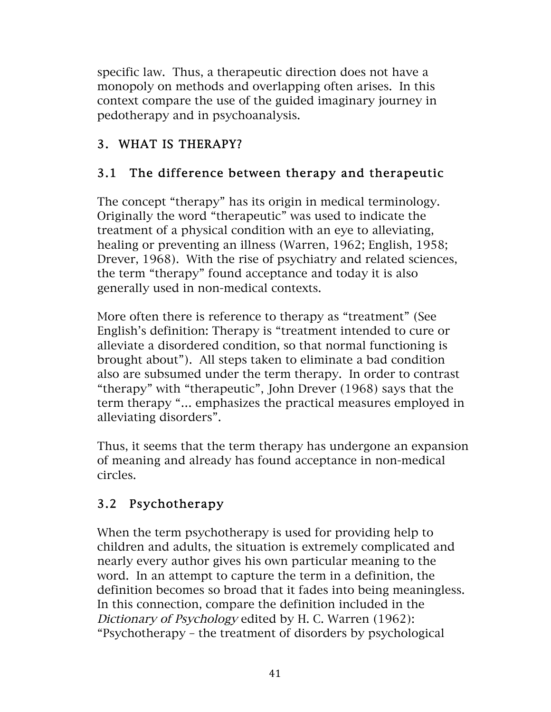specific law. Thus, a therapeutic direction does not have a monopoly on methods and overlapping often arises. In this context compare the use of the guided imaginary journey in pedotherapy and in psychoanalysis.

# 3. WHAT IS THERAPY?

# 3.1 The difference between therapy and therapeutic

The concept "therapy" has its origin in medical terminology. Originally the word "therapeutic" was used to indicate the treatment of a physical condition with an eye to alleviating, healing or preventing an illness (Warren, 1962; English, 1958; Drever, 1968). With the rise of psychiatry and related sciences, the term "therapy" found acceptance and today it is also generally used in non-medical contexts.

More often there is reference to therapy as "treatment" (See English's definition: Therapy is "treatment intended to cure or alleviate a disordered condition, so that normal functioning is brought about"). All steps taken to eliminate a bad condition also are subsumed under the term therapy. In order to contrast "therapy" with "therapeutic", John Drever (1968) says that the term therapy "… emphasizes the practical measures employed in alleviating disorders".

Thus, it seems that the term therapy has undergone an expansion of meaning and already has found acceptance in non-medical circles.

# 3.2 Psychotherapy

When the term psychotherapy is used for providing help to children and adults, the situation is extremely complicated and nearly every author gives his own particular meaning to the word. In an attempt to capture the term in a definition, the definition becomes so broad that it fades into being meaningless. In this connection, compare the definition included in the Dictionary of Psychology edited by H. C. Warren (1962): "Psychotherapy – the treatment of disorders by psychological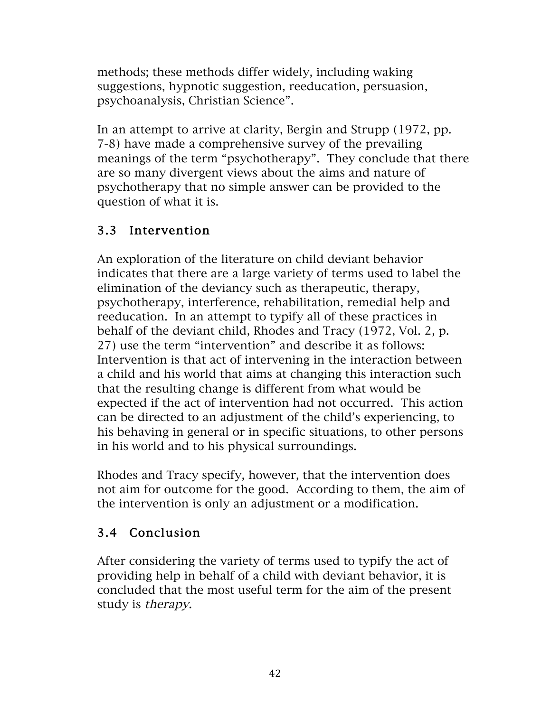methods; these methods differ widely, including waking suggestions, hypnotic suggestion, reeducation, persuasion, psychoanalysis, Christian Science".

In an attempt to arrive at clarity, Bergin and Strupp (1972, pp. 7-8) have made a comprehensive survey of the prevailing meanings of the term "psychotherapy". They conclude that there are so many divergent views about the aims and nature of psychotherapy that no simple answer can be provided to the question of what it is.

## 3.3 Intervention

An exploration of the literature on child deviant behavior indicates that there are a large variety of terms used to label the elimination of the deviancy such as therapeutic, therapy, psychotherapy, interference, rehabilitation, remedial help and reeducation. In an attempt to typify all of these practices in behalf of the deviant child, Rhodes and Tracy (1972, Vol. 2, p. 27) use the term "intervention" and describe it as follows: Intervention is that act of intervening in the interaction between a child and his world that aims at changing this interaction such that the resulting change is different from what would be expected if the act of intervention had not occurred. This action can be directed to an adjustment of the child's experiencing, to his behaving in general or in specific situations, to other persons in his world and to his physical surroundings.

Rhodes and Tracy specify, however, that the intervention does not aim for outcome for the good. According to them, the aim of the intervention is only an adjustment or a modification.

# 3.4 Conclusion

After considering the variety of terms used to typify the act of providing help in behalf of a child with deviant behavior, it is concluded that the most useful term for the aim of the present study is therapy.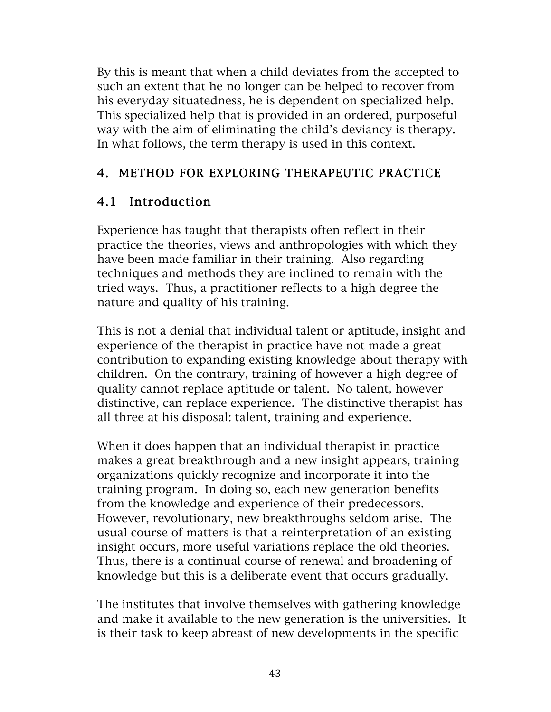By this is meant that when a child deviates from the accepted to such an extent that he no longer can be helped to recover from his everyday situatedness, he is dependent on specialized help. This specialized help that is provided in an ordered, purposeful way with the aim of eliminating the child's deviancy is therapy. In what follows, the term therapy is used in this context.

### 4. METHOD FOR EXPLORING THERAPEUTIC PRACTICE

## 4.1 Introduction

Experience has taught that therapists often reflect in their practice the theories, views and anthropologies with which they have been made familiar in their training. Also regarding techniques and methods they are inclined to remain with the tried ways. Thus, a practitioner reflects to a high degree the nature and quality of his training.

This is not a denial that individual talent or aptitude, insight and experience of the therapist in practice have not made a great contribution to expanding existing knowledge about therapy with children. On the contrary, training of however a high degree of quality cannot replace aptitude or talent. No talent, however distinctive, can replace experience. The distinctive therapist has all three at his disposal: talent, training and experience.

When it does happen that an individual therapist in practice makes a great breakthrough and a new insight appears, training organizations quickly recognize and incorporate it into the training program. In doing so, each new generation benefits from the knowledge and experience of their predecessors. However, revolutionary, new breakthroughs seldom arise. The usual course of matters is that a reinterpretation of an existing insight occurs, more useful variations replace the old theories. Thus, there is a continual course of renewal and broadening of knowledge but this is a deliberate event that occurs gradually.

The institutes that involve themselves with gathering knowledge and make it available to the new generation is the universities. It is their task to keep abreast of new developments in the specific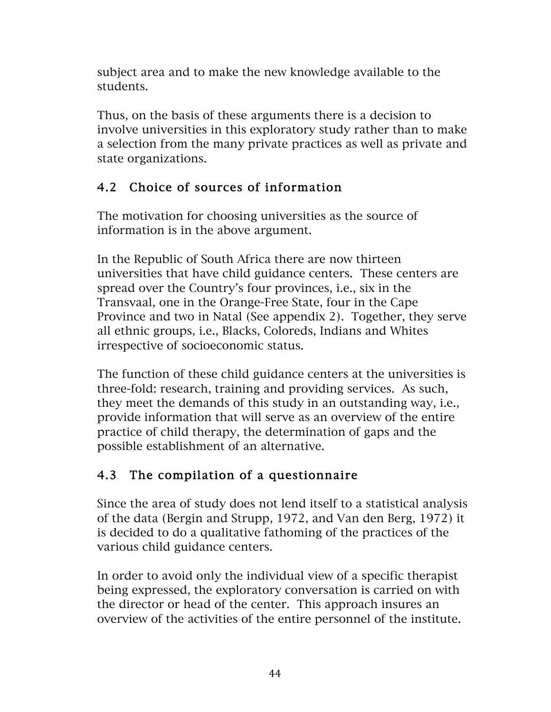subject area and to make the new knowledge available to the students.

Thus, on the basis of these arguments there is a decision to involve universities in this exploratory study rather than to make a selection from the many private practices as well as private and state organizations.

# 4.2 Choice of sources of information

The motivation for choosing universities as the source of information is in the above argument.

In the Republic of South Africa there are now thirteen universities that have child guidance centers. These centers are spread over the Country's four provinces, i.e., six in the Transvaal, one in the Orange-Free State, four in the Cape Province and two in Natal (See appendix 2). Together, they serve all ethnic groups, i.e., Blacks, Coloreds, Indians and Whites irrespective of socioeconomic status.

The function of these child guidance centers at the universities is three-fold: research, training and providing services. As such, they meet the demands of this study in an outstanding way, i.e., provide information that will serve as an overview of the entire practice of child therapy, the determination of gaps and the possible establishment of an alternative.

# 4.3 The compilation of a questionnaire

Since the area of study does not lend itself to a statistical analysis of the data (Bergin and Strupp, 1972, and Van den Berg, 1972) it is decided to do a qualitative fathoming of the practices of the various child guidance centers.

In order to avoid only the individual view of a specific therapist being expressed, the exploratory conversation is carried on with the director or head of the center. This approach insures an overview of the activities of the entire personnel of the institute.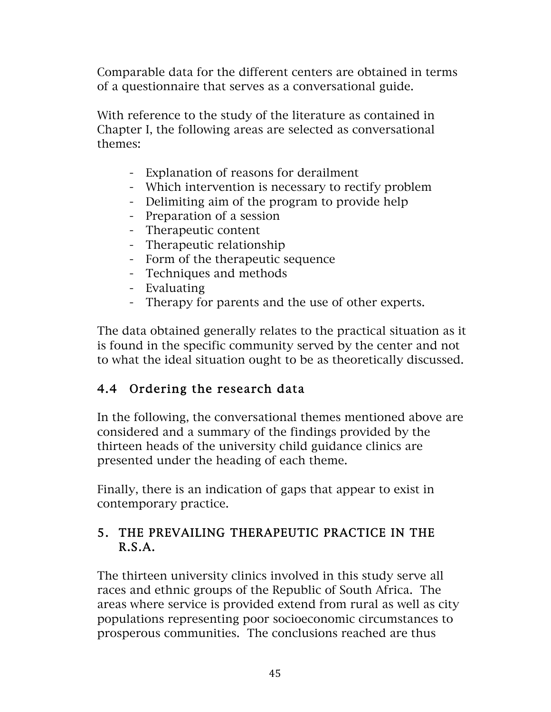Comparable data for the different centers are obtained in terms of a questionnaire that serves as a conversational guide.

With reference to the study of the literature as contained in Chapter I, the following areas are selected as conversational themes:

- Explanation of reasons for derailment
- Which intervention is necessary to rectify problem
- Delimiting aim of the program to provide help
- Preparation of a session
- Therapeutic content
- Therapeutic relationship
- Form of the therapeutic sequence
- Techniques and methods
- Evaluating
- Therapy for parents and the use of other experts.

The data obtained generally relates to the practical situation as it is found in the specific community served by the center and not to what the ideal situation ought to be as theoretically discussed.

### 4.4 Ordering the research data

In the following, the conversational themes mentioned above are considered and a summary of the findings provided by the thirteen heads of the university child guidance clinics are presented under the heading of each theme.

Finally, there is an indication of gaps that appear to exist in contemporary practice.

### 5. THE PREVAILING THERAPEUTIC PRACTICE IN THE R.S.A.

The thirteen university clinics involved in this study serve all races and ethnic groups of the Republic of South Africa. The areas where service is provided extend from rural as well as city populations representing poor socioeconomic circumstances to prosperous communities. The conclusions reached are thus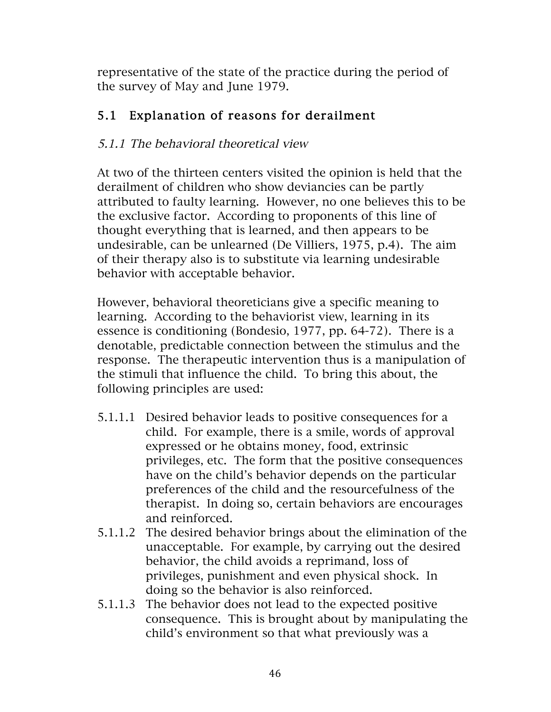representative of the state of the practice during the period of the survey of May and June 1979.

# 5.1 Explanation of reasons for derailment

## 5.1.1 The behavioral theoretical view

At two of the thirteen centers visited the opinion is held that the derailment of children who show deviancies can be partly attributed to faulty learning. However, no one believes this to be the exclusive factor. According to proponents of this line of thought everything that is learned, and then appears to be undesirable, can be unlearned (De Villiers, 1975, p.4). The aim of their therapy also is to substitute via learning undesirable behavior with acceptable behavior.

However, behavioral theoreticians give a specific meaning to learning. According to the behaviorist view, learning in its essence is conditioning (Bondesio, 1977, pp. 64-72). There is a denotable, predictable connection between the stimulus and the response. The therapeutic intervention thus is a manipulation of the stimuli that influence the child. To bring this about, the following principles are used:

- 5.1.1.1 Desired behavior leads to positive consequences for a child. For example, there is a smile, words of approval expressed or he obtains money, food, extrinsic privileges, etc. The form that the positive consequences have on the child's behavior depends on the particular preferences of the child and the resourcefulness of the therapist. In doing so, certain behaviors are encourages and reinforced.
- 5.1.1.2 The desired behavior brings about the elimination of the unacceptable. For example, by carrying out the desired behavior, the child avoids a reprimand, loss of privileges, punishment and even physical shock. In doing so the behavior is also reinforced.
- 5.1.1.3 The behavior does not lead to the expected positive consequence. This is brought about by manipulating the child's environment so that what previously was a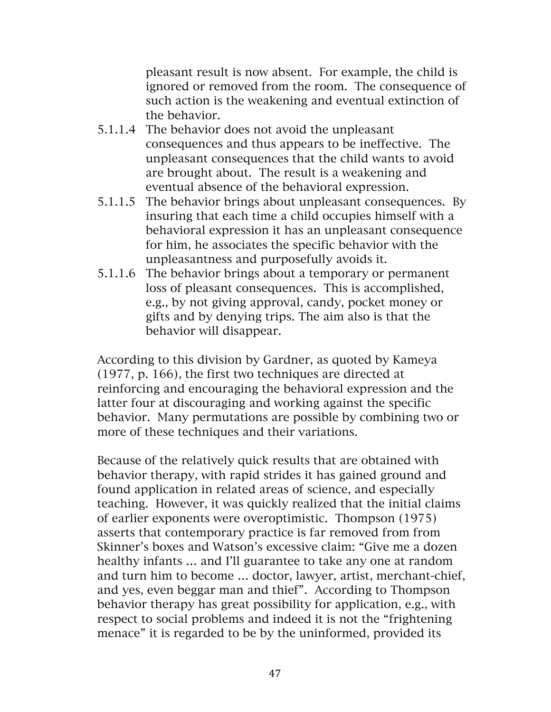pleasant result is now absent. For example, the child is ignored or removed from the room. The consequence of such action is the weakening and eventual extinction of the behavior.

- 5.1.1.4 The behavior does not avoid the unpleasant consequences and thus appears to be ineffective. The unpleasant consequences that the child wants to avoid are brought about. The result is a weakening and eventual absence of the behavioral expression.
- 5.1.1.5 The behavior brings about unpleasant consequences. By insuring that each time a child occupies himself with a behavioral expression it has an unpleasant consequence for him, he associates the specific behavior with the unpleasantness and purposefully avoids it.
- 5.1.1.6 The behavior brings about a temporary or permanent loss of pleasant consequences. This is accomplished, e.g., by not giving approval, candy, pocket money or gifts and by denying trips. The aim also is that the behavior will disappear.

According to this division by Gardner, as quoted by Kameya (1977, p. 166), the first two techniques are directed at reinforcing and encouraging the behavioral expression and the latter four at discouraging and working against the specific behavior. Many permutations are possible by combining two or more of these techniques and their variations.

Because of the relatively quick results that are obtained with behavior therapy, with rapid strides it has gained ground and found application in related areas of science, and especially teaching. However, it was quickly realized that the initial claims of earlier exponents were overoptimistic. Thompson (1975) asserts that contemporary practice is far removed from from Skinner's boxes and Watson's excessive claim: "Give me a dozen healthy infants ... and I'll guarantee to take any one at random and turn him to become … doctor, lawyer, artist, merchant-chief, and yes, even beggar man and thief". According to Thompson behavior therapy has great possibility for application, e.g., with respect to social problems and indeed it is not the "frightening menace" it is regarded to be by the uninformed, provided its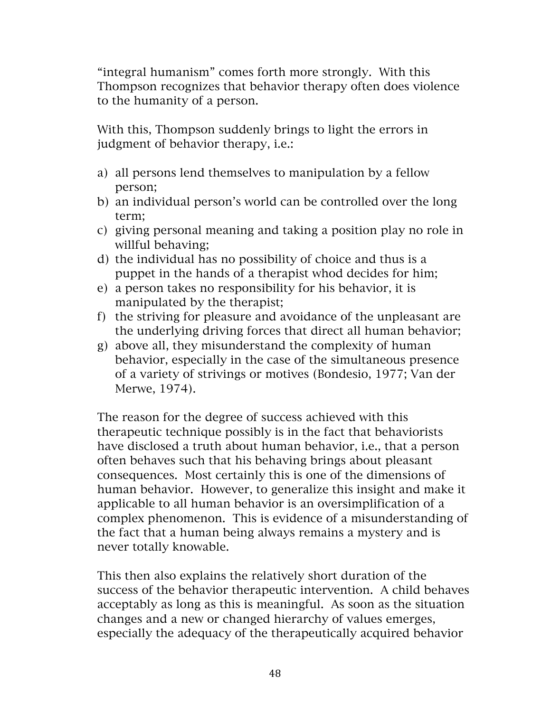"integral humanism" comes forth more strongly. With this Thompson recognizes that behavior therapy often does violence to the humanity of a person.

With this, Thompson suddenly brings to light the errors in judgment of behavior therapy, i.e.:

- a) all persons lend themselves to manipulation by a fellow person;
- b) an individual person's world can be controlled over the long term;
- c) giving personal meaning and taking a position play no role in willful behaving;
- d) the individual has no possibility of choice and thus is a puppet in the hands of a therapist whod decides for him;
- e) a person takes no responsibility for his behavior, it is manipulated by the therapist;
- f) the striving for pleasure and avoidance of the unpleasant are the underlying driving forces that direct all human behavior;
- g) above all, they misunderstand the complexity of human behavior, especially in the case of the simultaneous presence of a variety of strivings or motives (Bondesio, 1977; Van der Merwe, 1974).

The reason for the degree of success achieved with this therapeutic technique possibly is in the fact that behaviorists have disclosed a truth about human behavior, i.e., that a person often behaves such that his behaving brings about pleasant consequences. Most certainly this is one of the dimensions of human behavior. However, to generalize this insight and make it applicable to all human behavior is an oversimplification of a complex phenomenon. This is evidence of a misunderstanding of the fact that a human being always remains a mystery and is never totally knowable.

This then also explains the relatively short duration of the success of the behavior therapeutic intervention. A child behaves acceptably as long as this is meaningful. As soon as the situation changes and a new or changed hierarchy of values emerges, especially the adequacy of the therapeutically acquired behavior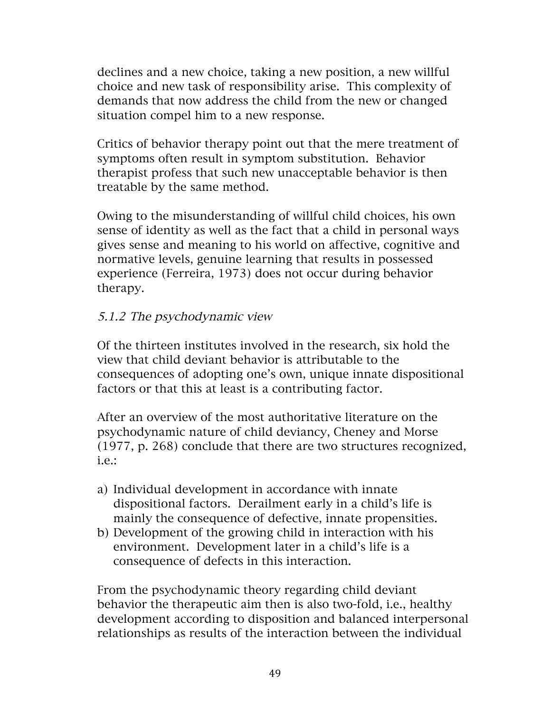declines and a new choice, taking a new position, a new willful choice and new task of responsibility arise. This complexity of demands that now address the child from the new or changed situation compel him to a new response.

Critics of behavior therapy point out that the mere treatment of symptoms often result in symptom substitution. Behavior therapist profess that such new unacceptable behavior is then treatable by the same method.

Owing to the misunderstanding of willful child choices, his own sense of identity as well as the fact that a child in personal ways gives sense and meaning to his world on affective, cognitive and normative levels, genuine learning that results in possessed experience (Ferreira, 1973) does not occur during behavior therapy.

#### 5.1.2 The psychodynamic view

Of the thirteen institutes involved in the research, six hold the view that child deviant behavior is attributable to the consequences of adopting one's own, unique innate dispositional factors or that this at least is a contributing factor.

After an overview of the most authoritative literature on the psychodynamic nature of child deviancy, Cheney and Morse (1977, p. 268) conclude that there are two structures recognized, i.e.:

- a) Individual development in accordance with innate dispositional factors. Derailment early in a child's life is mainly the consequence of defective, innate propensities.
- b) Development of the growing child in interaction with his environment. Development later in a child's life is a consequence of defects in this interaction.

From the psychodynamic theory regarding child deviant behavior the therapeutic aim then is also two-fold, i.e., healthy development according to disposition and balanced interpersonal relationships as results of the interaction between the individual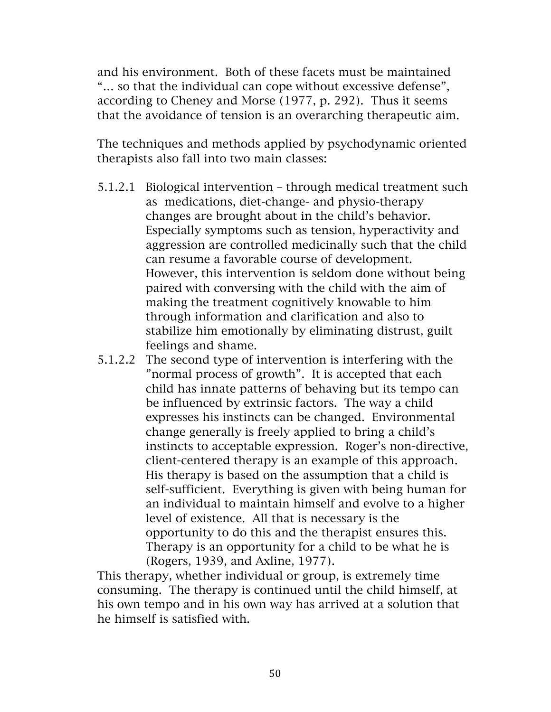and his environment. Both of these facets must be maintained "… so that the individual can cope without excessive defense", according to Cheney and Morse (1977, p. 292). Thus it seems that the avoidance of tension is an overarching therapeutic aim.

The techniques and methods applied by psychodynamic oriented therapists also fall into two main classes:

- 5.1.2.1 Biological intervention through medical treatment such as medications, diet-change- and physio-therapy changes are brought about in the child's behavior. Especially symptoms such as tension, hyperactivity and aggression are controlled medicinally such that the child can resume a favorable course of development. However, this intervention is seldom done without being paired with conversing with the child with the aim of making the treatment cognitively knowable to him through information and clarification and also to stabilize him emotionally by eliminating distrust, guilt feelings and shame.
- 5.1.2.2 The second type of intervention is interfering with the "normal process of growth". It is accepted that each child has innate patterns of behaving but its tempo can be influenced by extrinsic factors. The way a child expresses his instincts can be changed. Environmental change generally is freely applied to bring a child's instincts to acceptable expression. Roger's non-directive, client-centered therapy is an example of this approach. His therapy is based on the assumption that a child is self-sufficient. Everything is given with being human for an individual to maintain himself and evolve to a higher level of existence. All that is necessary is the opportunity to do this and the therapist ensures this. Therapy is an opportunity for a child to be what he is (Rogers, 1939, and Axline, 1977).

This therapy, whether individual or group, is extremely time consuming. The therapy is continued until the child himself, at his own tempo and in his own way has arrived at a solution that he himself is satisfied with.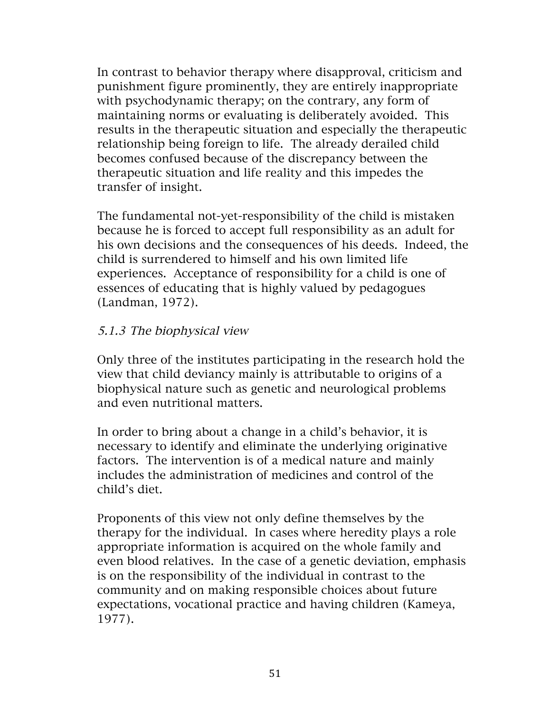In contrast to behavior therapy where disapproval, criticism and punishment figure prominently, they are entirely inappropriate with psychodynamic therapy; on the contrary, any form of maintaining norms or evaluating is deliberately avoided. This results in the therapeutic situation and especially the therapeutic relationship being foreign to life. The already derailed child becomes confused because of the discrepancy between the therapeutic situation and life reality and this impedes the transfer of insight.

The fundamental not-yet-responsibility of the child is mistaken because he is forced to accept full responsibility as an adult for his own decisions and the consequences of his deeds. Indeed, the child is surrendered to himself and his own limited life experiences. Acceptance of responsibility for a child is one of essences of educating that is highly valued by pedagogues (Landman, 1972).

#### 5.1.3 The biophysical view

Only three of the institutes participating in the research hold the view that child deviancy mainly is attributable to origins of a biophysical nature such as genetic and neurological problems and even nutritional matters.

In order to bring about a change in a child's behavior, it is necessary to identify and eliminate the underlying originative factors. The intervention is of a medical nature and mainly includes the administration of medicines and control of the child's diet.

Proponents of this view not only define themselves by the therapy for the individual. In cases where heredity plays a role appropriate information is acquired on the whole family and even blood relatives. In the case of a genetic deviation, emphasis is on the responsibility of the individual in contrast to the community and on making responsible choices about future expectations, vocational practice and having children (Kameya, 1977).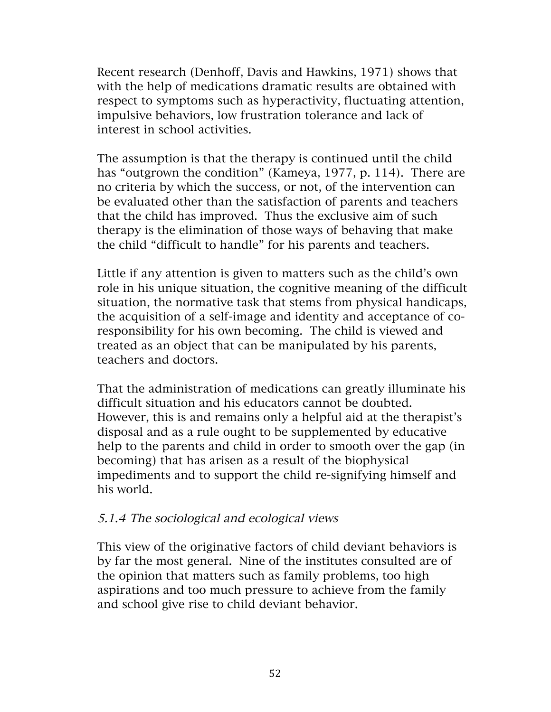Recent research (Denhoff, Davis and Hawkins, 1971) shows that with the help of medications dramatic results are obtained with respect to symptoms such as hyperactivity, fluctuating attention, impulsive behaviors, low frustration tolerance and lack of interest in school activities.

The assumption is that the therapy is continued until the child has "outgrown the condition" (Kameya, 1977, p. 114). There are no criteria by which the success, or not, of the intervention can be evaluated other than the satisfaction of parents and teachers that the child has improved. Thus the exclusive aim of such therapy is the elimination of those ways of behaving that make the child "difficult to handle" for his parents and teachers.

Little if any attention is given to matters such as the child's own role in his unique situation, the cognitive meaning of the difficult situation, the normative task that stems from physical handicaps, the acquisition of a self-image and identity and acceptance of coresponsibility for his own becoming. The child is viewed and treated as an object that can be manipulated by his parents, teachers and doctors.

That the administration of medications can greatly illuminate his difficult situation and his educators cannot be doubted. However, this is and remains only a helpful aid at the therapist's disposal and as a rule ought to be supplemented by educative help to the parents and child in order to smooth over the gap (in becoming) that has arisen as a result of the biophysical impediments and to support the child re-signifying himself and his world.

#### 5.1.4 The sociological and ecological views

This view of the originative factors of child deviant behaviors is by far the most general. Nine of the institutes consulted are of the opinion that matters such as family problems, too high aspirations and too much pressure to achieve from the family and school give rise to child deviant behavior.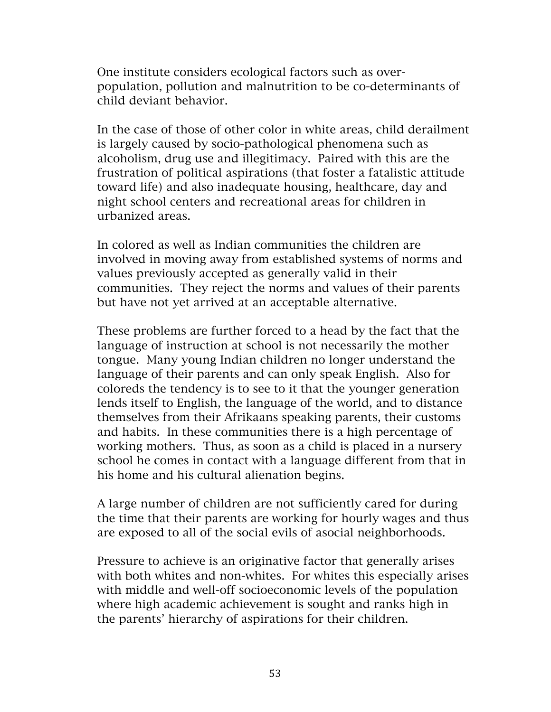One institute considers ecological factors such as overpopulation, pollution and malnutrition to be co-determinants of child deviant behavior.

In the case of those of other color in white areas, child derailment is largely caused by socio-pathological phenomena such as alcoholism, drug use and illegitimacy. Paired with this are the frustration of political aspirations (that foster a fatalistic attitude toward life) and also inadequate housing, healthcare, day and night school centers and recreational areas for children in urbanized areas.

In colored as well as Indian communities the children are involved in moving away from established systems of norms and values previously accepted as generally valid in their communities. They reject the norms and values of their parents but have not yet arrived at an acceptable alternative.

These problems are further forced to a head by the fact that the language of instruction at school is not necessarily the mother tongue. Many young Indian children no longer understand the language of their parents and can only speak English. Also for coloreds the tendency is to see to it that the younger generation lends itself to English, the language of the world, and to distance themselves from their Afrikaans speaking parents, their customs and habits. In these communities there is a high percentage of working mothers. Thus, as soon as a child is placed in a nursery school he comes in contact with a language different from that in his home and his cultural alienation begins.

A large number of children are not sufficiently cared for during the time that their parents are working for hourly wages and thus are exposed to all of the social evils of asocial neighborhoods.

Pressure to achieve is an originative factor that generally arises with both whites and non-whites. For whites this especially arises with middle and well-off socioeconomic levels of the population where high academic achievement is sought and ranks high in the parents' hierarchy of aspirations for their children.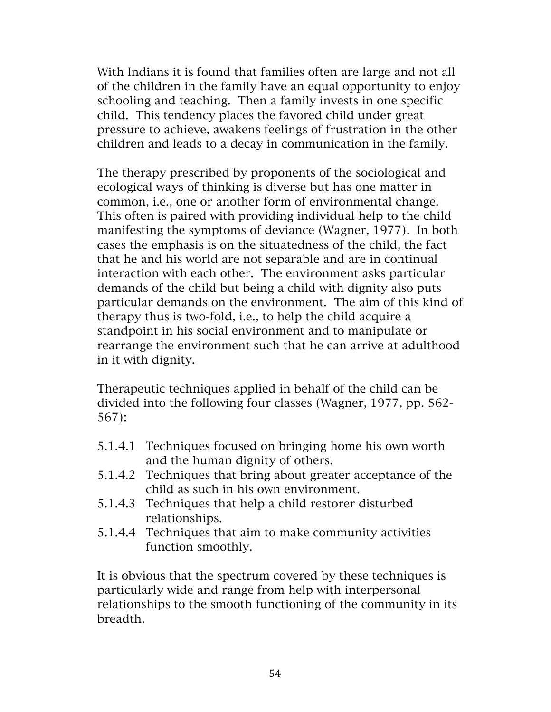With Indians it is found that families often are large and not all of the children in the family have an equal opportunity to enjoy schooling and teaching. Then a family invests in one specific child. This tendency places the favored child under great pressure to achieve, awakens feelings of frustration in the other children and leads to a decay in communication in the family.

The therapy prescribed by proponents of the sociological and ecological ways of thinking is diverse but has one matter in common, i.e., one or another form of environmental change. This often is paired with providing individual help to the child manifesting the symptoms of deviance (Wagner, 1977). In both cases the emphasis is on the situatedness of the child, the fact that he and his world are not separable and are in continual interaction with each other. The environment asks particular demands of the child but being a child with dignity also puts particular demands on the environment. The aim of this kind of therapy thus is two-fold, i.e., to help the child acquire a standpoint in his social environment and to manipulate or rearrange the environment such that he can arrive at adulthood in it with dignity.

Therapeutic techniques applied in behalf of the child can be divided into the following four classes (Wagner, 1977, pp. 562- 567):

- 5.1.4.1 Techniques focused on bringing home his own worth and the human dignity of others.
- 5.1.4.2 Techniques that bring about greater acceptance of the child as such in his own environment.
- 5.1.4.3 Techniques that help a child restorer disturbed relationships.
- 5.1.4.4 Techniques that aim to make community activities function smoothly.

It is obvious that the spectrum covered by these techniques is particularly wide and range from help with interpersonal relationships to the smooth functioning of the community in its breadth.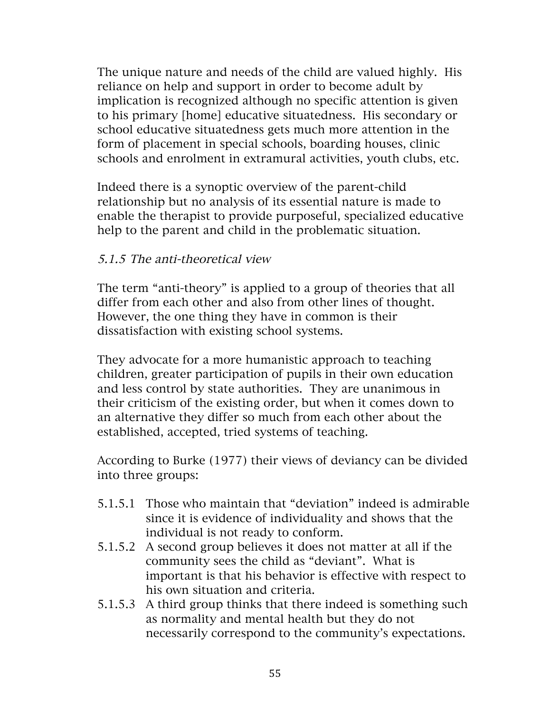The unique nature and needs of the child are valued highly. His reliance on help and support in order to become adult by implication is recognized although no specific attention is given to his primary [home] educative situatedness. His secondary or school educative situatedness gets much more attention in the form of placement in special schools, boarding houses, clinic schools and enrolment in extramural activities, youth clubs, etc.

Indeed there is a synoptic overview of the parent-child relationship but no analysis of its essential nature is made to enable the therapist to provide purposeful, specialized educative help to the parent and child in the problematic situation.

#### 5.1.5 The anti-theoretical view

The term "anti-theory" is applied to a group of theories that all differ from each other and also from other lines of thought. However, the one thing they have in common is their dissatisfaction with existing school systems.

They advocate for a more humanistic approach to teaching children, greater participation of pupils in their own education and less control by state authorities. They are unanimous in their criticism of the existing order, but when it comes down to an alternative they differ so much from each other about the established, accepted, tried systems of teaching.

According to Burke (1977) their views of deviancy can be divided into three groups:

- 5.1.5.1 Those who maintain that "deviation" indeed is admirable since it is evidence of individuality and shows that the individual is not ready to conform.
- 5.1.5.2 A second group believes it does not matter at all if the community sees the child as "deviant". What is important is that his behavior is effective with respect to his own situation and criteria.
- 5.1.5.3 A third group thinks that there indeed is something such as normality and mental health but they do not necessarily correspond to the community's expectations.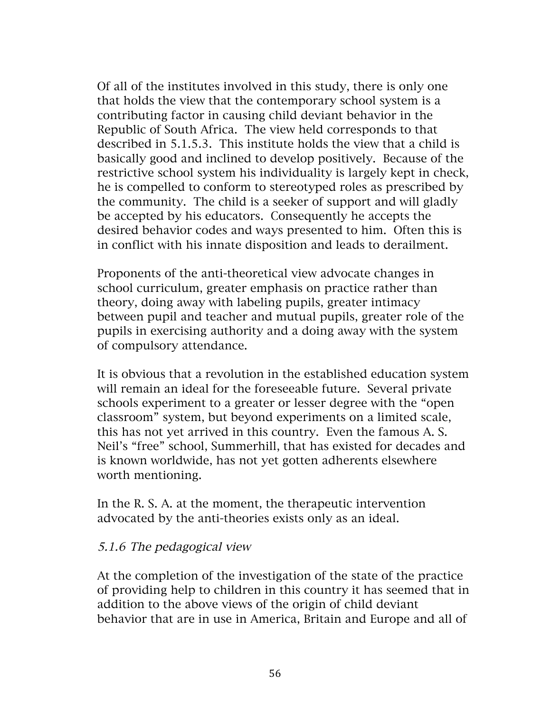Of all of the institutes involved in this study, there is only one that holds the view that the contemporary school system is a contributing factor in causing child deviant behavior in the Republic of South Africa. The view held corresponds to that described in 5.1.5.3. This institute holds the view that a child is basically good and inclined to develop positively. Because of the restrictive school system his individuality is largely kept in check, he is compelled to conform to stereotyped roles as prescribed by the community. The child is a seeker of support and will gladly be accepted by his educators. Consequently he accepts the desired behavior codes and ways presented to him. Often this is in conflict with his innate disposition and leads to derailment.

Proponents of the anti-theoretical view advocate changes in school curriculum, greater emphasis on practice rather than theory, doing away with labeling pupils, greater intimacy between pupil and teacher and mutual pupils, greater role of the pupils in exercising authority and a doing away with the system of compulsory attendance.

It is obvious that a revolution in the established education system will remain an ideal for the foreseeable future. Several private schools experiment to a greater or lesser degree with the "open classroom" system, but beyond experiments on a limited scale, this has not yet arrived in this country. Even the famous A. S. Neil's "free" school, Summerhill, that has existed for decades and is known worldwide, has not yet gotten adherents elsewhere worth mentioning.

In the R. S. A. at the moment, the therapeutic intervention advocated by the anti-theories exists only as an ideal.

#### 5.1.6 The pedagogical view

At the completion of the investigation of the state of the practice of providing help to children in this country it has seemed that in addition to the above views of the origin of child deviant behavior that are in use in America, Britain and Europe and all of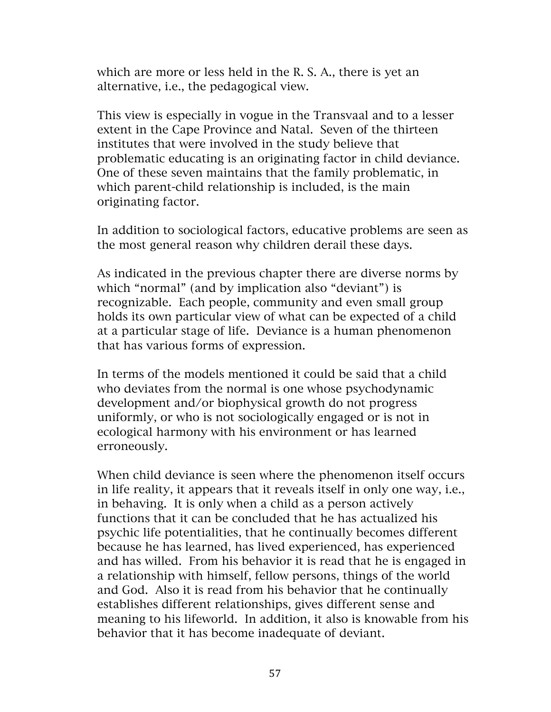which are more or less held in the R. S. A., there is yet an alternative, i.e., the pedagogical view.

This view is especially in vogue in the Transvaal and to a lesser extent in the Cape Province and Natal. Seven of the thirteen institutes that were involved in the study believe that problematic educating is an originating factor in child deviance. One of these seven maintains that the family problematic, in which parent-child relationship is included, is the main originating factor.

In addition to sociological factors, educative problems are seen as the most general reason why children derail these days.

As indicated in the previous chapter there are diverse norms by which "normal" (and by implication also "deviant") is recognizable. Each people, community and even small group holds its own particular view of what can be expected of a child at a particular stage of life. Deviance is a human phenomenon that has various forms of expression.

In terms of the models mentioned it could be said that a child who deviates from the normal is one whose psychodynamic development and/or biophysical growth do not progress uniformly, or who is not sociologically engaged or is not in ecological harmony with his environment or has learned erroneously.

When child deviance is seen where the phenomenon itself occurs in life reality, it appears that it reveals itself in only one way, i.e., in behaving. It is only when a child as a person actively functions that it can be concluded that he has actualized his psychic life potentialities, that he continually becomes different because he has learned, has lived experienced, has experienced and has willed. From his behavior it is read that he is engaged in a relationship with himself, fellow persons, things of the world and God. Also it is read from his behavior that he continually establishes different relationships, gives different sense and meaning to his lifeworld. In addition, it also is knowable from his behavior that it has become inadequate of deviant.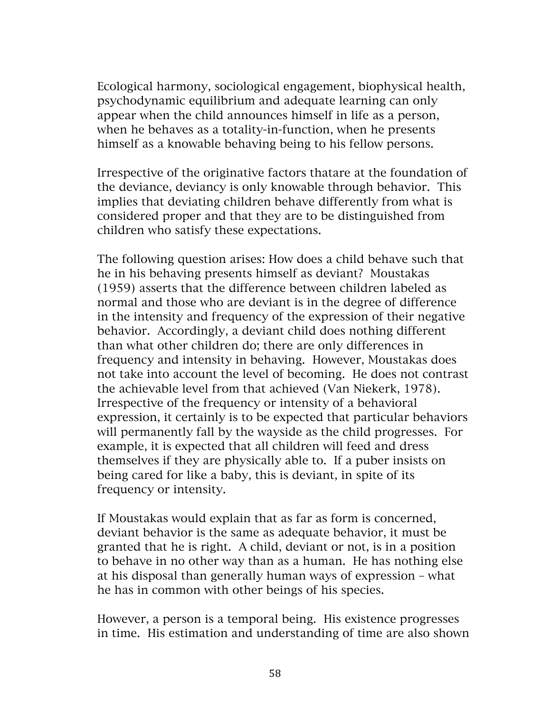Ecological harmony, sociological engagement, biophysical health, psychodynamic equilibrium and adequate learning can only appear when the child announces himself in life as a person, when he behaves as a totality-in-function, when he presents himself as a knowable behaving being to his fellow persons.

Irrespective of the originative factors thatare at the foundation of the deviance, deviancy is only knowable through behavior. This implies that deviating children behave differently from what is considered proper and that they are to be distinguished from children who satisfy these expectations.

The following question arises: How does a child behave such that he in his behaving presents himself as deviant? Moustakas (1959) asserts that the difference between children labeled as normal and those who are deviant is in the degree of difference in the intensity and frequency of the expression of their negative behavior. Accordingly, a deviant child does nothing different than what other children do; there are only differences in frequency and intensity in behaving. However, Moustakas does not take into account the level of becoming. He does not contrast the achievable level from that achieved (Van Niekerk, 1978). Irrespective of the frequency or intensity of a behavioral expression, it certainly is to be expected that particular behaviors will permanently fall by the wayside as the child progresses. For example, it is expected that all children will feed and dress themselves if they are physically able to. If a puber insists on being cared for like a baby, this is deviant, in spite of its frequency or intensity.

If Moustakas would explain that as far as form is concerned, deviant behavior is the same as adequate behavior, it must be granted that he is right. A child, deviant or not, is in a position to behave in no other way than as a human. He has nothing else at his disposal than generally human ways of expression – what he has in common with other beings of his species.

However, a person is a temporal being. His existence progresses in time. His estimation and understanding of time are also shown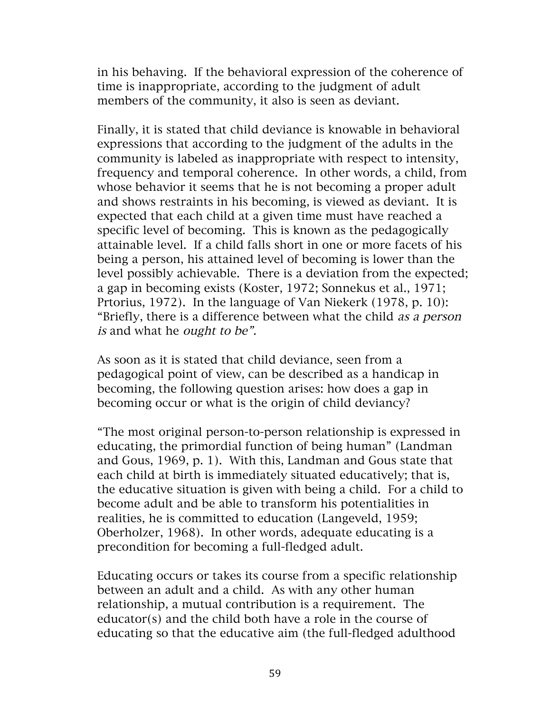in his behaving. If the behavioral expression of the coherence of time is inappropriate, according to the judgment of adult members of the community, it also is seen as deviant.

Finally, it is stated that child deviance is knowable in behavioral expressions that according to the judgment of the adults in the community is labeled as inappropriate with respect to intensity, frequency and temporal coherence. In other words, a child, from whose behavior it seems that he is not becoming a proper adult and shows restraints in his becoming, is viewed as deviant. It is expected that each child at a given time must have reached a specific level of becoming. This is known as the pedagogically attainable level. If a child falls short in one or more facets of his being a person, his attained level of becoming is lower than the level possibly achievable. There is a deviation from the expected; a gap in becoming exists (Koster, 1972; Sonnekus et al., 1971; Prtorius, 1972). In the language of Van Niekerk (1978, p. 10): "Briefly, there is a difference between what the child as a person is and what he *ought to be"*.

As soon as it is stated that child deviance, seen from a pedagogical point of view, can be described as a handicap in becoming, the following question arises: how does a gap in becoming occur or what is the origin of child deviancy?

"The most original person-to-person relationship is expressed in educating, the primordial function of being human" (Landman and Gous, 1969, p. 1). With this, Landman and Gous state that each child at birth is immediately situated educatively; that is, the educative situation is given with being a child. For a child to become adult and be able to transform his potentialities in realities, he is committed to education (Langeveld, 1959; Oberholzer, 1968). In other words, adequate educating is a precondition for becoming a full-fledged adult.

Educating occurs or takes its course from a specific relationship between an adult and a child. As with any other human relationship, a mutual contribution is a requirement. The educator(s) and the child both have a role in the course of educating so that the educative aim (the full-fledged adulthood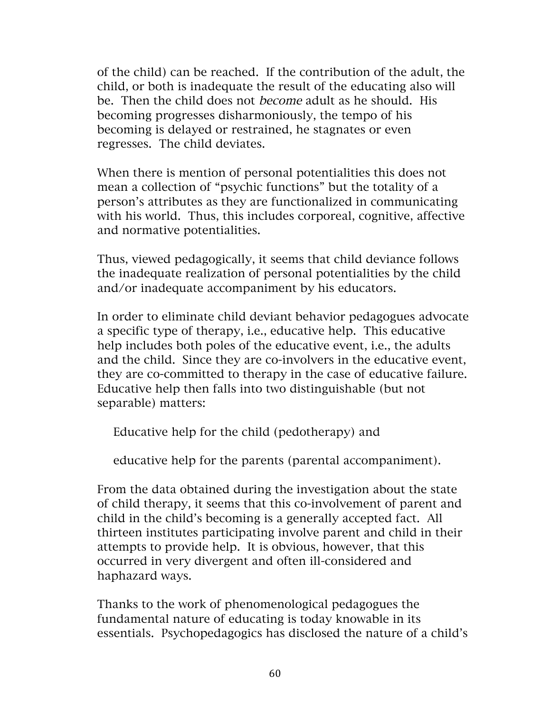of the child) can be reached. If the contribution of the adult, the child, or both is inadequate the result of the educating also will be. Then the child does not become adult as he should. His becoming progresses disharmoniously, the tempo of his becoming is delayed or restrained, he stagnates or even regresses. The child deviates.

When there is mention of personal potentialities this does not mean a collection of "psychic functions" but the totality of a person's attributes as they are functionalized in communicating with his world. Thus, this includes corporeal, cognitive, affective and normative potentialities.

Thus, viewed pedagogically, it seems that child deviance follows the inadequate realization of personal potentialities by the child and/or inadequate accompaniment by his educators.

In order to eliminate child deviant behavior pedagogues advocate a specific type of therapy, i.e., educative help. This educative help includes both poles of the educative event, i.e., the adults and the child. Since they are co-involvers in the educative event, they are co-committed to therapy in the case of educative failure. Educative help then falls into two distinguishable (but not separable) matters:

Educative help for the child (pedotherapy) and

educative help for the parents (parental accompaniment).

From the data obtained during the investigation about the state of child therapy, it seems that this co-involvement of parent and child in the child's becoming is a generally accepted fact. All thirteen institutes participating involve parent and child in their attempts to provide help. It is obvious, however, that this occurred in very divergent and often ill-considered and haphazard ways.

Thanks to the work of phenomenological pedagogues the fundamental nature of educating is today knowable in its essentials. Psychopedagogics has disclosed the nature of a child's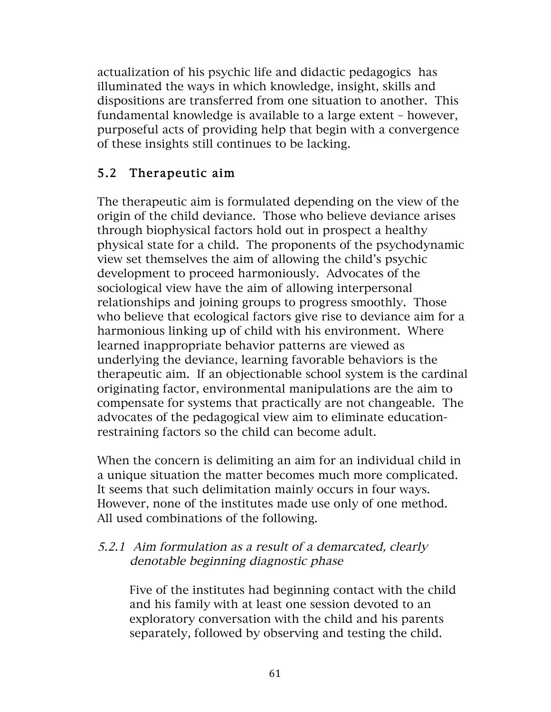actualization of his psychic life and didactic pedagogics has illuminated the ways in which knowledge, insight, skills and dispositions are transferred from one situation to another. This fundamental knowledge is available to a large extent – however, purposeful acts of providing help that begin with a convergence of these insights still continues to be lacking.

### 5.2 Therapeutic aim

The therapeutic aim is formulated depending on the view of the origin of the child deviance. Those who believe deviance arises through biophysical factors hold out in prospect a healthy physical state for a child. The proponents of the psychodynamic view set themselves the aim of allowing the child's psychic development to proceed harmoniously. Advocates of the sociological view have the aim of allowing interpersonal relationships and joining groups to progress smoothly. Those who believe that ecological factors give rise to deviance aim for a harmonious linking up of child with his environment. Where learned inappropriate behavior patterns are viewed as underlying the deviance, learning favorable behaviors is the therapeutic aim. If an objectionable school system is the cardinal originating factor, environmental manipulations are the aim to compensate for systems that practically are not changeable. The advocates of the pedagogical view aim to eliminate educationrestraining factors so the child can become adult.

When the concern is delimiting an aim for an individual child in a unique situation the matter becomes much more complicated. It seems that such delimitation mainly occurs in four ways. However, none of the institutes made use only of one method. All used combinations of the following.

#### 5.2.1 Aim formulation as a result of a demarcated, clearly denotable beginning diagnostic phase

Five of the institutes had beginning contact with the child and his family with at least one session devoted to an exploratory conversation with the child and his parents separately, followed by observing and testing the child.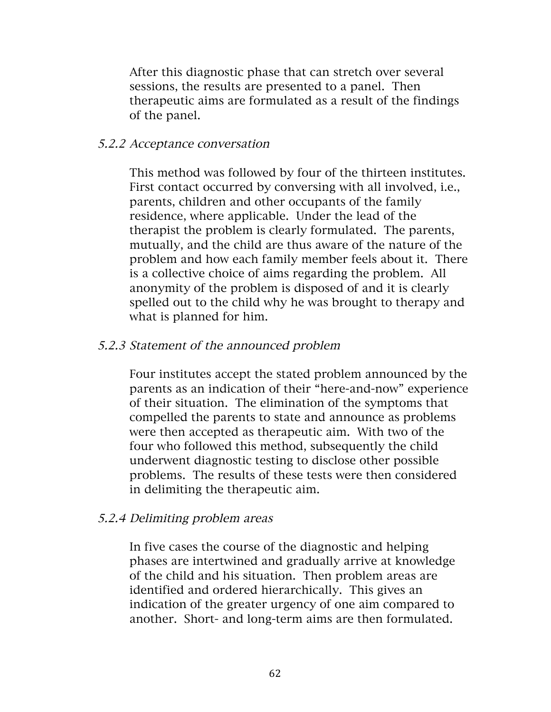After this diagnostic phase that can stretch over several sessions, the results are presented to a panel. Then therapeutic aims are formulated as a result of the findings of the panel.

#### 5.2.2 Acceptance conversation

This method was followed by four of the thirteen institutes. First contact occurred by conversing with all involved, i.e., parents, children and other occupants of the family residence, where applicable. Under the lead of the therapist the problem is clearly formulated. The parents, mutually, and the child are thus aware of the nature of the problem and how each family member feels about it. There is a collective choice of aims regarding the problem. All anonymity of the problem is disposed of and it is clearly spelled out to the child why he was brought to therapy and what is planned for him.

#### 5.2.3 Statement of the announced problem

Four institutes accept the stated problem announced by the parents as an indication of their "here-and-now" experience of their situation. The elimination of the symptoms that compelled the parents to state and announce as problems were then accepted as therapeutic aim. With two of the four who followed this method, subsequently the child underwent diagnostic testing to disclose other possible problems. The results of these tests were then considered in delimiting the therapeutic aim.

#### 5.2.4 Delimiting problem areas

In five cases the course of the diagnostic and helping phases are intertwined and gradually arrive at knowledge of the child and his situation. Then problem areas are identified and ordered hierarchically. This gives an indication of the greater urgency of one aim compared to another. Short- and long-term aims are then formulated.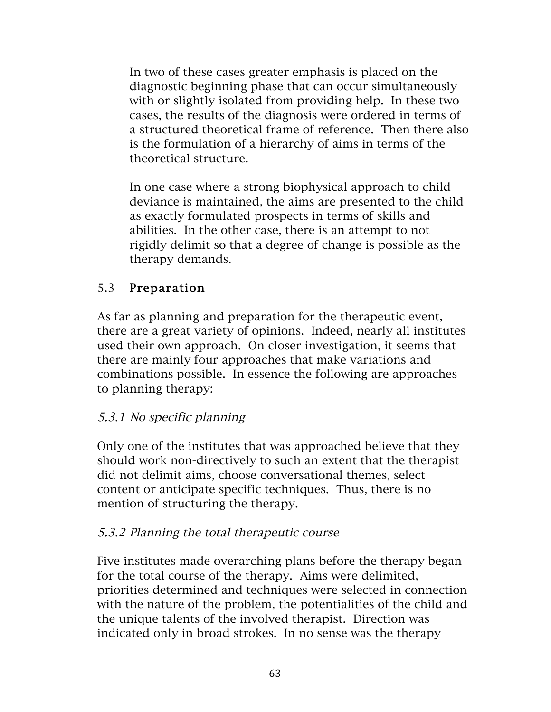In two of these cases greater emphasis is placed on the diagnostic beginning phase that can occur simultaneously with or slightly isolated from providing help. In these two cases, the results of the diagnosis were ordered in terms of a structured theoretical frame of reference. Then there also is the formulation of a hierarchy of aims in terms of the theoretical structure.

In one case where a strong biophysical approach to child deviance is maintained, the aims are presented to the child as exactly formulated prospects in terms of skills and abilities. In the other case, there is an attempt to not rigidly delimit so that a degree of change is possible as the therapy demands.

### 5.3 Preparation

As far as planning and preparation for the therapeutic event, there are a great variety of opinions. Indeed, nearly all institutes used their own approach. On closer investigation, it seems that there are mainly four approaches that make variations and combinations possible. In essence the following are approaches to planning therapy:

### 5.3.1 No specific planning

Only one of the institutes that was approached believe that they should work non-directively to such an extent that the therapist did not delimit aims, choose conversational themes, select content or anticipate specific techniques. Thus, there is no mention of structuring the therapy.

### 5.3.2 Planning the total therapeutic course

Five institutes made overarching plans before the therapy began for the total course of the therapy. Aims were delimited, priorities determined and techniques were selected in connection with the nature of the problem, the potentialities of the child and the unique talents of the involved therapist. Direction was indicated only in broad strokes. In no sense was the therapy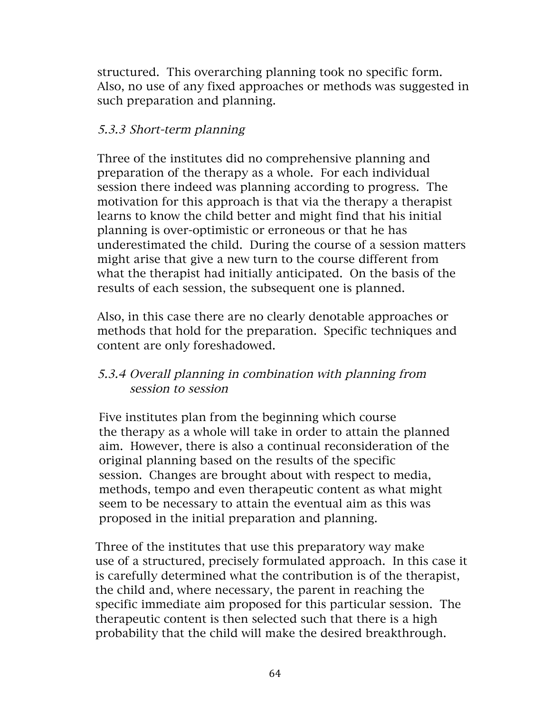structured. This overarching planning took no specific form. Also, no use of any fixed approaches or methods was suggested in such preparation and planning.

#### 5.3.3 Short-term planning

Three of the institutes did no comprehensive planning and preparation of the therapy as a whole. For each individual session there indeed was planning according to progress. The motivation for this approach is that via the therapy a therapist learns to know the child better and might find that his initial planning is over-optimistic or erroneous or that he has underestimated the child. During the course of a session matters might arise that give a new turn to the course different from what the therapist had initially anticipated. On the basis of the results of each session, the subsequent one is planned.

Also, in this case there are no clearly denotable approaches or methods that hold for the preparation. Specific techniques and content are only foreshadowed.

#### 5.3.4 Overall planning in combination with planning from session to session

 Five institutes plan from the beginning which course the therapy as a whole will take in order to attain the planned aim. However, there is also a continual reconsideration of the original planning based on the results of the specific session. Changes are brought about with respect to media, methods, tempo and even therapeutic content as what might seem to be necessary to attain the eventual aim as this was proposed in the initial preparation and planning.

 Three of the institutes that use this preparatory way make use of a structured, precisely formulated approach. In this case it is carefully determined what the contribution is of the therapist, the child and, where necessary, the parent in reaching the specific immediate aim proposed for this particular session. The therapeutic content is then selected such that there is a high probability that the child will make the desired breakthrough.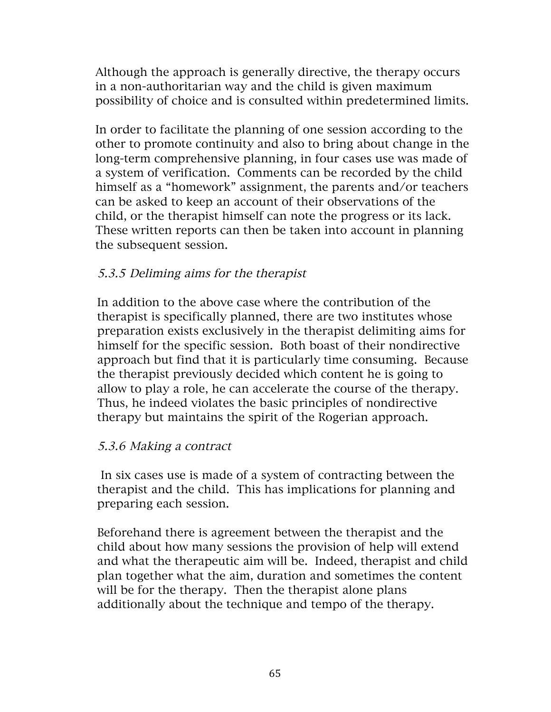Although the approach is generally directive, the therapy occurs in a non-authoritarian way and the child is given maximum possibility of choice and is consulted within predetermined limits.

 In order to facilitate the planning of one session according to the other to promote continuity and also to bring about change in the long-term comprehensive planning, in four cases use was made of a system of verification. Comments can be recorded by the child himself as a "homework" assignment, the parents and/or teachers can be asked to keep an account of their observations of the child, or the therapist himself can note the progress or its lack. These written reports can then be taken into account in planning the subsequent session.

#### 5.3.5 Deliming aims for the therapist

In addition to the above case where the contribution of the therapist is specifically planned, there are two institutes whose preparation exists exclusively in the therapist delimiting aims for himself for the specific session. Both boast of their nondirective approach but find that it is particularly time consuming. Because the therapist previously decided which content he is going to allow to play a role, he can accelerate the course of the therapy. Thus, he indeed violates the basic principles of nondirective therapy but maintains the spirit of the Rogerian approach.

#### 5.3.6 Making a contract

In six cases use is made of a system of contracting between the therapist and the child. This has implications for planning and preparing each session.

Beforehand there is agreement between the therapist and the child about how many sessions the provision of help will extend and what the therapeutic aim will be. Indeed, therapist and child plan together what the aim, duration and sometimes the content will be for the therapy. Then the therapist alone plans additionally about the technique and tempo of the therapy.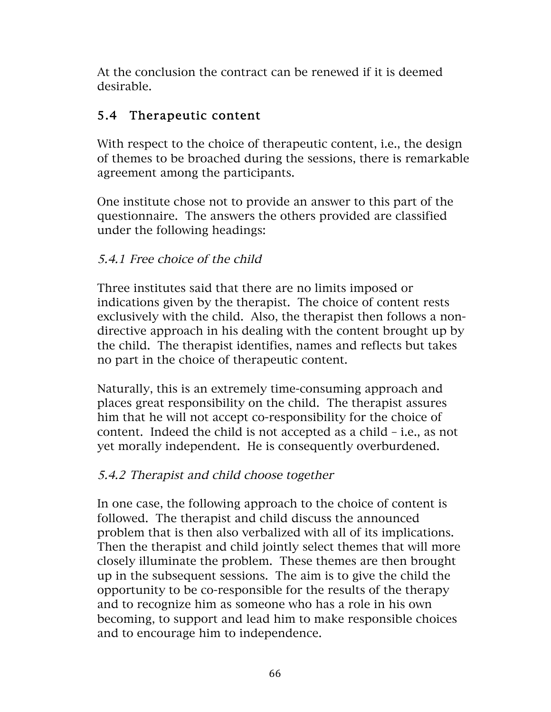At the conclusion the contract can be renewed if it is deemed desirable.

## 5.4 Therapeutic content

With respect to the choice of therapeutic content, i.e., the design of themes to be broached during the sessions, there is remarkable agreement among the participants.

One institute chose not to provide an answer to this part of the questionnaire. The answers the others provided are classified under the following headings:

### 5.4.1 Free choice of the child

Three institutes said that there are no limits imposed or indications given by the therapist. The choice of content rests exclusively with the child. Also, the therapist then follows a nondirective approach in his dealing with the content brought up by the child. The therapist identifies, names and reflects but takes no part in the choice of therapeutic content.

Naturally, this is an extremely time-consuming approach and places great responsibility on the child. The therapist assures him that he will not accept co-responsibility for the choice of content. Indeed the child is not accepted as a child – i.e., as not yet morally independent. He is consequently overburdened.

### 5.4.2 Therapist and child choose together

In one case, the following approach to the choice of content is followed. The therapist and child discuss the announced problem that is then also verbalized with all of its implications. Then the therapist and child jointly select themes that will more closely illuminate the problem. These themes are then brought up in the subsequent sessions. The aim is to give the child the opportunity to be co-responsible for the results of the therapy and to recognize him as someone who has a role in his own becoming, to support and lead him to make responsible choices and to encourage him to independence.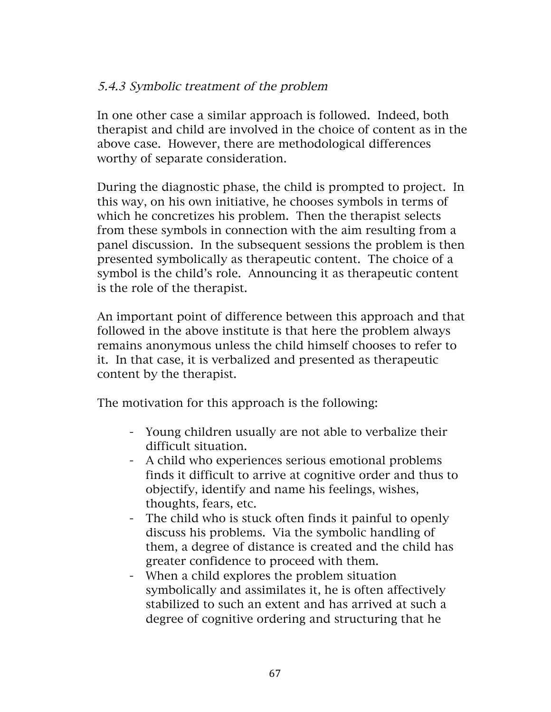#### 5.4.3 Symbolic treatment of the problem

In one other case a similar approach is followed. Indeed, both therapist and child are involved in the choice of content as in the above case. However, there are methodological differences worthy of separate consideration.

During the diagnostic phase, the child is prompted to project. In this way, on his own initiative, he chooses symbols in terms of which he concretizes his problem. Then the therapist selects from these symbols in connection with the aim resulting from a panel discussion. In the subsequent sessions the problem is then presented symbolically as therapeutic content. The choice of a symbol is the child's role. Announcing it as therapeutic content is the role of the therapist.

An important point of difference between this approach and that followed in the above institute is that here the problem always remains anonymous unless the child himself chooses to refer to it. In that case, it is verbalized and presented as therapeutic content by the therapist.

The motivation for this approach is the following:

- Young children usually are not able to verbalize their difficult situation.
- A child who experiences serious emotional problems finds it difficult to arrive at cognitive order and thus to objectify, identify and name his feelings, wishes, thoughts, fears, etc.
- The child who is stuck often finds it painful to openly discuss his problems. Via the symbolic handling of them, a degree of distance is created and the child has greater confidence to proceed with them.
- When a child explores the problem situation symbolically and assimilates it, he is often affectively stabilized to such an extent and has arrived at such a degree of cognitive ordering and structuring that he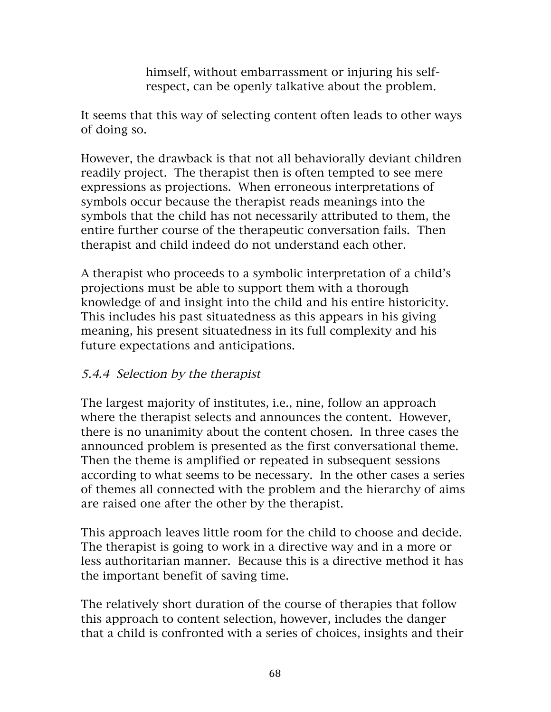himself, without embarrassment or injuring his selfrespect, can be openly talkative about the problem.

It seems that this way of selecting content often leads to other ways of doing so.

However, the drawback is that not all behaviorally deviant children readily project. The therapist then is often tempted to see mere expressions as projections. When erroneous interpretations of symbols occur because the therapist reads meanings into the symbols that the child has not necessarily attributed to them, the entire further course of the therapeutic conversation fails. Then therapist and child indeed do not understand each other.

A therapist who proceeds to a symbolic interpretation of a child's projections must be able to support them with a thorough knowledge of and insight into the child and his entire historicity. This includes his past situatedness as this appears in his giving meaning, his present situatedness in its full complexity and his future expectations and anticipations.

#### 5.4.4 Selection by the therapist

The largest majority of institutes, i.e., nine, follow an approach where the therapist selects and announces the content. However, there is no unanimity about the content chosen. In three cases the announced problem is presented as the first conversational theme. Then the theme is amplified or repeated in subsequent sessions according to what seems to be necessary. In the other cases a series of themes all connected with the problem and the hierarchy of aims are raised one after the other by the therapist.

This approach leaves little room for the child to choose and decide. The therapist is going to work in a directive way and in a more or less authoritarian manner. Because this is a directive method it has the important benefit of saving time.

The relatively short duration of the course of therapies that follow this approach to content selection, however, includes the danger that a child is confronted with a series of choices, insights and their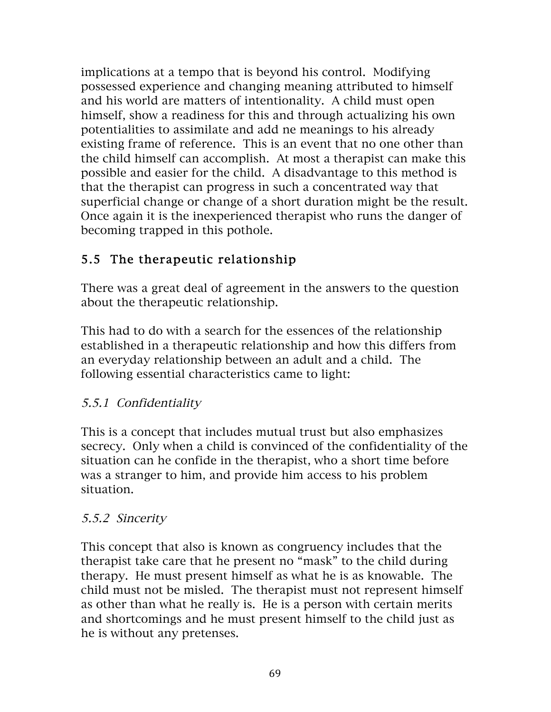implications at a tempo that is beyond his control. Modifying possessed experience and changing meaning attributed to himself and his world are matters of intentionality. A child must open himself, show a readiness for this and through actualizing his own potentialities to assimilate and add ne meanings to his already existing frame of reference. This is an event that no one other than the child himself can accomplish. At most a therapist can make this possible and easier for the child. A disadvantage to this method is that the therapist can progress in such a concentrated way that superficial change or change of a short duration might be the result. Once again it is the inexperienced therapist who runs the danger of becoming trapped in this pothole.

# 5.5 The therapeutic relationship

There was a great deal of agreement in the answers to the question about the therapeutic relationship.

This had to do with a search for the essences of the relationship established in a therapeutic relationship and how this differs from an everyday relationship between an adult and a child. The following essential characteristics came to light:

### 5.5.1 Confidentiality

This is a concept that includes mutual trust but also emphasizes secrecy. Only when a child is convinced of the confidentiality of the situation can he confide in the therapist, who a short time before was a stranger to him, and provide him access to his problem situation.

### 5.5.2 Sincerity

This concept that also is known as congruency includes that the therapist take care that he present no "mask" to the child during therapy. He must present himself as what he is as knowable. The child must not be misled. The therapist must not represent himself as other than what he really is. He is a person with certain merits and shortcomings and he must present himself to the child just as he is without any pretenses.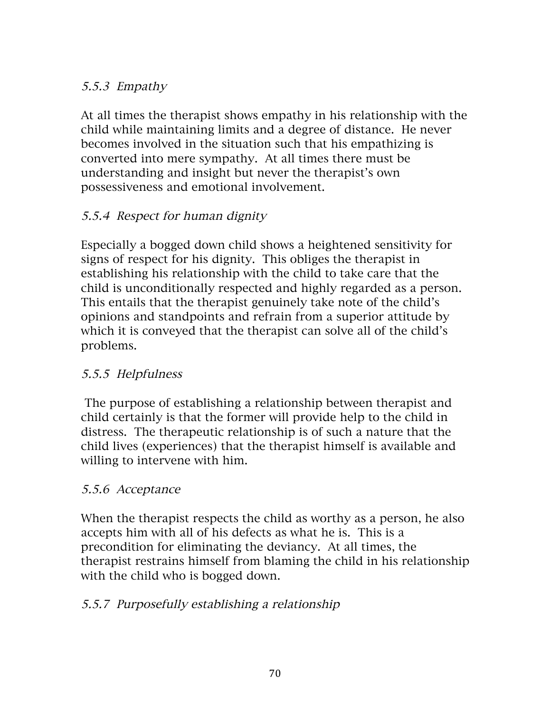#### 5.5.3 Empathy

At all times the therapist shows empathy in his relationship with the child while maintaining limits and a degree of distance. He never becomes involved in the situation such that his empathizing is converted into mere sympathy. At all times there must be understanding and insight but never the therapist's own possessiveness and emotional involvement.

### 5.5.4 Respect for human dignity

Especially a bogged down child shows a heightened sensitivity for signs of respect for his dignity. This obliges the therapist in establishing his relationship with the child to take care that the child is unconditionally respected and highly regarded as a person. This entails that the therapist genuinely take note of the child's opinions and standpoints and refrain from a superior attitude by which it is conveyed that the therapist can solve all of the child's problems.

### 5.5.5 Helpfulness

The purpose of establishing a relationship between therapist and child certainly is that the former will provide help to the child in distress. The therapeutic relationship is of such a nature that the child lives (experiences) that the therapist himself is available and willing to intervene with him.

#### 5.5.6 Acceptance

When the therapist respects the child as worthy as a person, he also accepts him with all of his defects as what he is. This is a precondition for eliminating the deviancy. At all times, the therapist restrains himself from blaming the child in his relationship with the child who is bogged down.

### 5.5.7 Purposefully establishing a relationship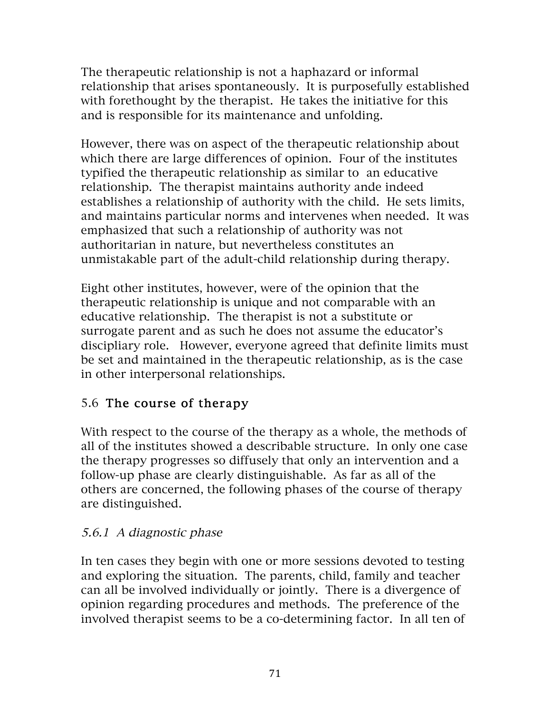The therapeutic relationship is not a haphazard or informal relationship that arises spontaneously. It is purposefully established with forethought by the therapist. He takes the initiative for this and is responsible for its maintenance and unfolding.

However, there was on aspect of the therapeutic relationship about which there are large differences of opinion. Four of the institutes typified the therapeutic relationship as similar to an educative relationship. The therapist maintains authority ande indeed establishes a relationship of authority with the child. He sets limits, and maintains particular norms and intervenes when needed. It was emphasized that such a relationship of authority was not authoritarian in nature, but nevertheless constitutes an unmistakable part of the adult-child relationship during therapy.

Eight other institutes, however, were of the opinion that the therapeutic relationship is unique and not comparable with an educative relationship. The therapist is not a substitute or surrogate parent and as such he does not assume the educator's discipliary role. However, everyone agreed that definite limits must be set and maintained in the therapeutic relationship, as is the case in other interpersonal relationships.

# 5.6 The course of therapy

With respect to the course of the therapy as a whole, the methods of all of the institutes showed a describable structure. In only one case the therapy progresses so diffusely that only an intervention and a follow-up phase are clearly distinguishable. As far as all of the others are concerned, the following phases of the course of therapy are distinguished.

### 5.6.1 A diagnostic phase

In ten cases they begin with one or more sessions devoted to testing and exploring the situation. The parents, child, family and teacher can all be involved individually or jointly. There is a divergence of opinion regarding procedures and methods. The preference of the involved therapist seems to be a co-determining factor. In all ten of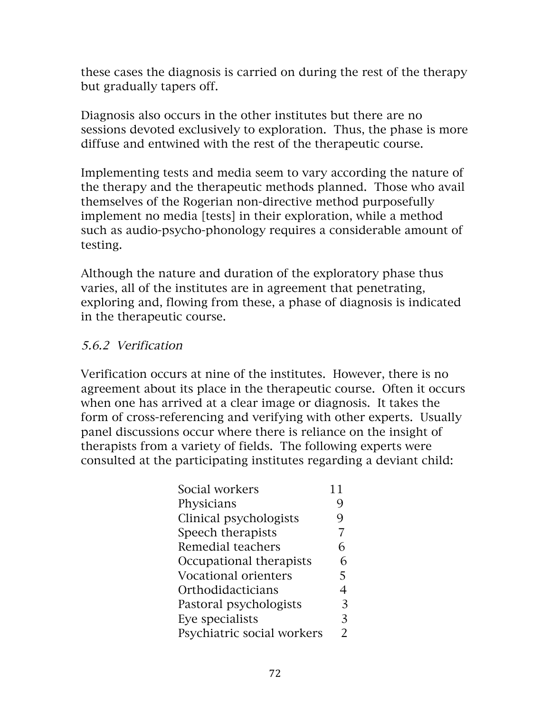these cases the diagnosis is carried on during the rest of the therapy but gradually tapers off.

Diagnosis also occurs in the other institutes but there are no sessions devoted exclusively to exploration. Thus, the phase is more diffuse and entwined with the rest of the therapeutic course.

Implementing tests and media seem to vary according the nature of the therapy and the therapeutic methods planned. Those who avail themselves of the Rogerian non-directive method purposefully implement no media [tests] in their exploration, while a method such as audio-psycho-phonology requires a considerable amount of testing.

Although the nature and duration of the exploratory phase thus varies, all of the institutes are in agreement that penetrating, exploring and, flowing from these, a phase of diagnosis is indicated in the therapeutic course.

#### 5.6.2 Verification

Verification occurs at nine of the institutes. However, there is no agreement about its place in the therapeutic course. Often it occurs when one has arrived at a clear image or diagnosis. It takes the form of cross-referencing and verifying with other experts. Usually panel discussions occur where there is reliance on the insight of therapists from a variety of fields. The following experts were consulted at the participating institutes regarding a deviant child:

| Social workers             | 11            |
|----------------------------|---------------|
| Physicians                 | g             |
| Clinical psychologists     | 9             |
| Speech therapists          | 7             |
| Remedial teachers          | 6             |
| Occupational therapists    | 6             |
| Vocational orienters       | 5             |
| Orthodidacticians          | 4             |
| Pastoral psychologists     | 3             |
| Eye specialists            | 3             |
| Psychiatric social workers | $\mathcal{P}$ |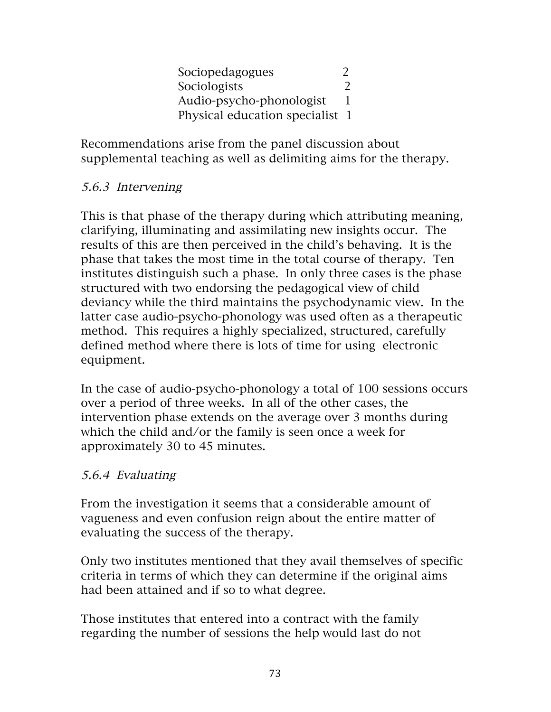Sociopedagogues 2 Sociologists 2 Audio-psycho-phonologist 1 Physical education specialist 1

Recommendations arise from the panel discussion about supplemental teaching as well as delimiting aims for the therapy.

#### 5.6.3 Intervening

This is that phase of the therapy during which attributing meaning, clarifying, illuminating and assimilating new insights occur. The results of this are then perceived in the child's behaving. It is the phase that takes the most time in the total course of therapy. Ten institutes distinguish such a phase. In only three cases is the phase structured with two endorsing the pedagogical view of child deviancy while the third maintains the psychodynamic view. In the latter case audio-psycho-phonology was used often as a therapeutic method. This requires a highly specialized, structured, carefully defined method where there is lots of time for using electronic equipment.

In the case of audio-psycho-phonology a total of 100 sessions occurs over a period of three weeks. In all of the other cases, the intervention phase extends on the average over 3 months during which the child and/or the family is seen once a week for approximately 30 to 45 minutes.

### 5.6.4 Evaluating

From the investigation it seems that a considerable amount of vagueness and even confusion reign about the entire matter of evaluating the success of the therapy.

Only two institutes mentioned that they avail themselves of specific criteria in terms of which they can determine if the original aims had been attained and if so to what degree.

Those institutes that entered into a contract with the family regarding the number of sessions the help would last do not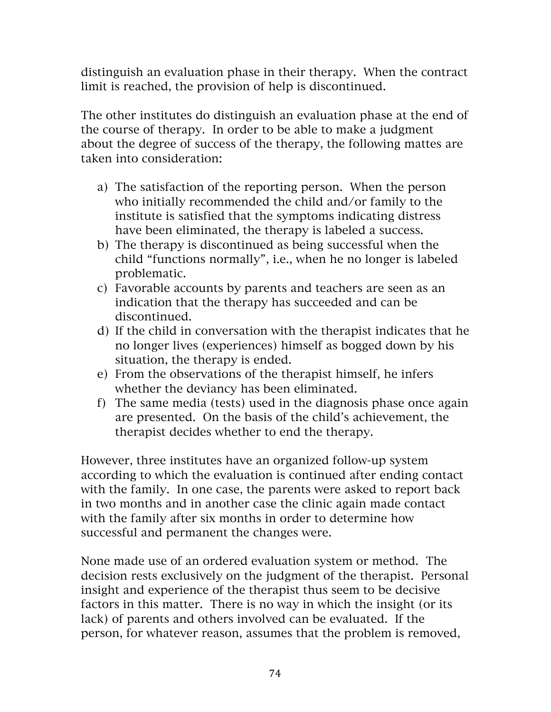distinguish an evaluation phase in their therapy. When the contract limit is reached, the provision of help is discontinued.

The other institutes do distinguish an evaluation phase at the end of the course of therapy. In order to be able to make a judgment about the degree of success of the therapy, the following mattes are taken into consideration:

- a) The satisfaction of the reporting person. When the person who initially recommended the child and/or family to the institute is satisfied that the symptoms indicating distress have been eliminated, the therapy is labeled a success.
- b) The therapy is discontinued as being successful when the child "functions normally", i.e., when he no longer is labeled problematic.
- c) Favorable accounts by parents and teachers are seen as an indication that the therapy has succeeded and can be discontinued.
- d) If the child in conversation with the therapist indicates that he no longer lives (experiences) himself as bogged down by his situation, the therapy is ended.
- e) From the observations of the therapist himself, he infers whether the deviancy has been eliminated.
- f) The same media (tests) used in the diagnosis phase once again are presented. On the basis of the child's achievement, the therapist decides whether to end the therapy.

However, three institutes have an organized follow-up system according to which the evaluation is continued after ending contact with the family. In one case, the parents were asked to report back in two months and in another case the clinic again made contact with the family after six months in order to determine how successful and permanent the changes were.

None made use of an ordered evaluation system or method. The decision rests exclusively on the judgment of the therapist. Personal insight and experience of the therapist thus seem to be decisive factors in this matter. There is no way in which the insight (or its lack) of parents and others involved can be evaluated. If the person, for whatever reason, assumes that the problem is removed,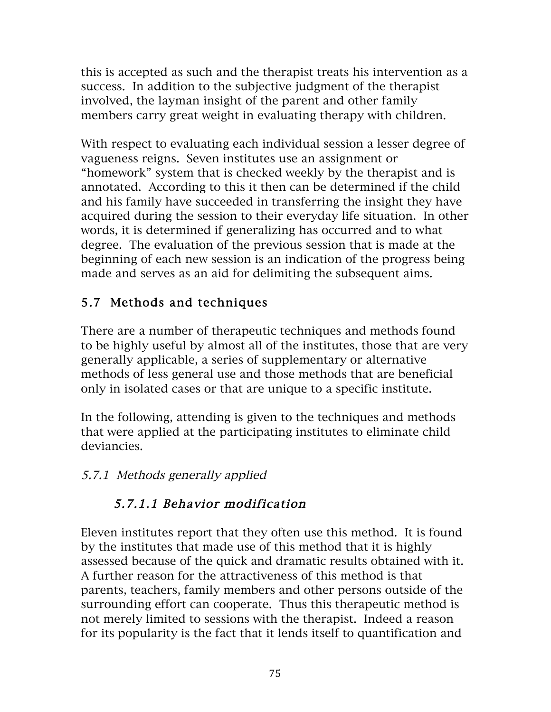this is accepted as such and the therapist treats his intervention as a success. In addition to the subjective judgment of the therapist involved, the layman insight of the parent and other family members carry great weight in evaluating therapy with children.

With respect to evaluating each individual session a lesser degree of vagueness reigns. Seven institutes use an assignment or "homework" system that is checked weekly by the therapist and is annotated. According to this it then can be determined if the child and his family have succeeded in transferring the insight they have acquired during the session to their everyday life situation. In other words, it is determined if generalizing has occurred and to what degree. The evaluation of the previous session that is made at the beginning of each new session is an indication of the progress being made and serves as an aid for delimiting the subsequent aims.

# 5.7 Methods and techniques

There are a number of therapeutic techniques and methods found to be highly useful by almost all of the institutes, those that are very generally applicable, a series of supplementary or alternative methods of less general use and those methods that are beneficial only in isolated cases or that are unique to a specific institute.

In the following, attending is given to the techniques and methods that were applied at the participating institutes to eliminate child deviancies.

### 5.7.1 Methods generally applied

# 5.7.1.1 Behavior modification

Eleven institutes report that they often use this method. It is found by the institutes that made use of this method that it is highly assessed because of the quick and dramatic results obtained with it. A further reason for the attractiveness of this method is that parents, teachers, family members and other persons outside of the surrounding effort can cooperate. Thus this therapeutic method is not merely limited to sessions with the therapist. Indeed a reason for its popularity is the fact that it lends itself to quantification and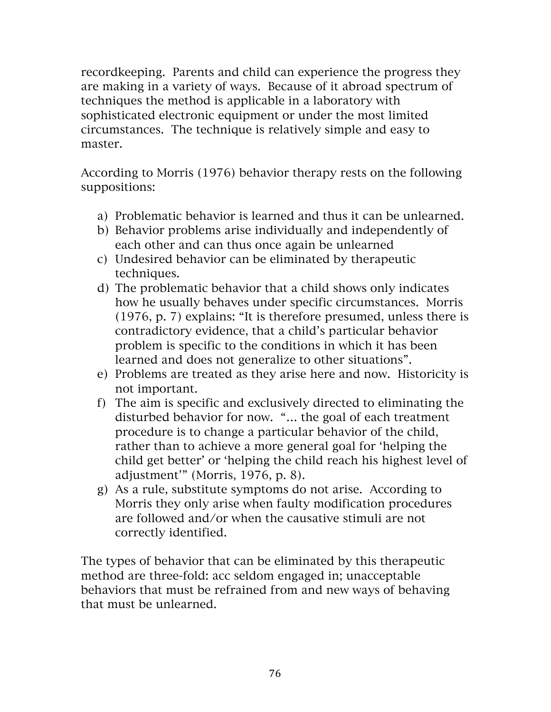recordkeeping. Parents and child can experience the progress they are making in a variety of ways. Because of it abroad spectrum of techniques the method is applicable in a laboratory with sophisticated electronic equipment or under the most limited circumstances. The technique is relatively simple and easy to master.

According to Morris (1976) behavior therapy rests on the following suppositions:

- a) Problematic behavior is learned and thus it can be unlearned.
- b) Behavior problems arise individually and independently of each other and can thus once again be unlearned
- c) Undesired behavior can be eliminated by therapeutic techniques.
- d) The problematic behavior that a child shows only indicates how he usually behaves under specific circumstances. Morris (1976, p. 7) explains: "It is therefore presumed, unless there is contradictory evidence, that a child's particular behavior problem is specific to the conditions in which it has been learned and does not generalize to other situations".
- e) Problems are treated as they arise here and now. Historicity is not important.
- f) The aim is specific and exclusively directed to eliminating the disturbed behavior for now. "… the goal of each treatment procedure is to change a particular behavior of the child, rather than to achieve a more general goal for 'helping the child get better' or 'helping the child reach his highest level of adjustment'" (Morris, 1976, p. 8).
- g) As a rule, substitute symptoms do not arise. According to Morris they only arise when faulty modification procedures are followed and/or when the causative stimuli are not correctly identified.

The types of behavior that can be eliminated by this therapeutic method are three-fold: acc seldom engaged in; unacceptable behaviors that must be refrained from and new ways of behaving that must be unlearned.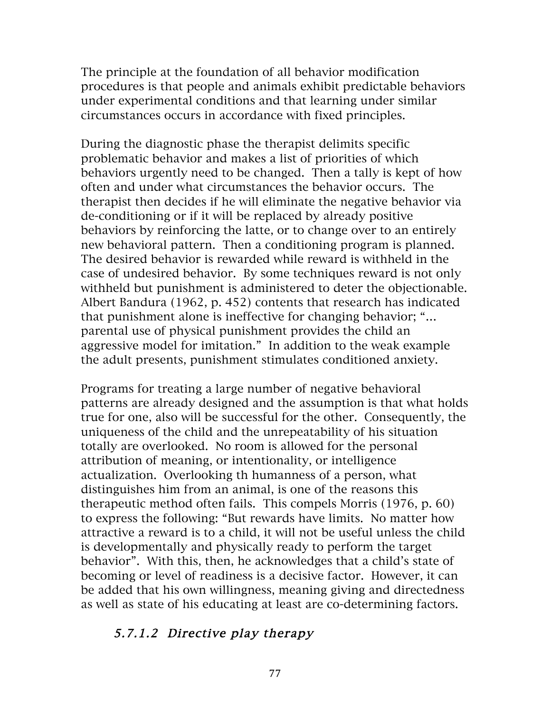The principle at the foundation of all behavior modification procedures is that people and animals exhibit predictable behaviors under experimental conditions and that learning under similar circumstances occurs in accordance with fixed principles.

During the diagnostic phase the therapist delimits specific problematic behavior and makes a list of priorities of which behaviors urgently need to be changed. Then a tally is kept of how often and under what circumstances the behavior occurs. The therapist then decides if he will eliminate the negative behavior via de-conditioning or if it will be replaced by already positive behaviors by reinforcing the latte, or to change over to an entirely new behavioral pattern. Then a conditioning program is planned. The desired behavior is rewarded while reward is withheld in the case of undesired behavior. By some techniques reward is not only withheld but punishment is administered to deter the objectionable. Albert Bandura (1962, p. 452) contents that research has indicated that punishment alone is ineffective for changing behavior; "… parental use of physical punishment provides the child an aggressive model for imitation." In addition to the weak example the adult presents, punishment stimulates conditioned anxiety.

Programs for treating a large number of negative behavioral patterns are already designed and the assumption is that what holds true for one, also will be successful for the other. Consequently, the uniqueness of the child and the unrepeatability of his situation totally are overlooked. No room is allowed for the personal attribution of meaning, or intentionality, or intelligence actualization. Overlooking th humanness of a person, what distinguishes him from an animal, is one of the reasons this therapeutic method often fails. This compels Morris (1976, p. 60) to express the following: "But rewards have limits. No matter how attractive a reward is to a child, it will not be useful unless the child is developmentally and physically ready to perform the target behavior". With this, then, he acknowledges that a child's state of becoming or level of readiness is a decisive factor. However, it can be added that his own willingness, meaning giving and directedness as well as state of his educating at least are co-determining factors.

#### 5.7.1.2 Directive play therapy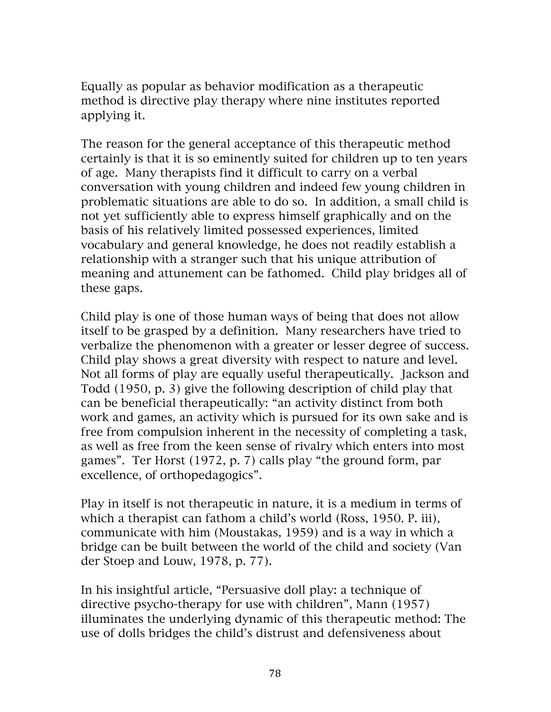Equally as popular as behavior modification as a therapeutic method is directive play therapy where nine institutes reported applying it.

The reason for the general acceptance of this therapeutic method certainly is that it is so eminently suited for children up to ten years of age. Many therapists find it difficult to carry on a verbal conversation with young children and indeed few young children in problematic situations are able to do so. In addition, a small child is not yet sufficiently able to express himself graphically and on the basis of his relatively limited possessed experiences, limited vocabulary and general knowledge, he does not readily establish a relationship with a stranger such that his unique attribution of meaning and attunement can be fathomed. Child play bridges all of these gaps.

Child play is one of those human ways of being that does not allow itself to be grasped by a definition. Many researchers have tried to verbalize the phenomenon with a greater or lesser degree of success. Child play shows a great diversity with respect to nature and level. Not all forms of play are equally useful therapeutically. Jackson and Todd (1950, p. 3) give the following description of child play that can be beneficial therapeutically: "an activity distinct from both work and games, an activity which is pursued for its own sake and is free from compulsion inherent in the necessity of completing a task, as well as free from the keen sense of rivalry which enters into most games". Ter Horst (1972, p. 7) calls play "the ground form, par excellence, of orthopedagogics".

Play in itself is not therapeutic in nature, it is a medium in terms of which a therapist can fathom a child's world (Ross, 1950. P. iii), communicate with him (Moustakas, 1959) and is a way in which a bridge can be built between the world of the child and society (Van der Stoep and Louw, 1978, p. 77).

In his insightful article, "Persuasive doll play: a technique of directive psycho-therapy for use with children", Mann (1957) illuminates the underlying dynamic of this therapeutic method: The use of dolls bridges the child's distrust and defensiveness about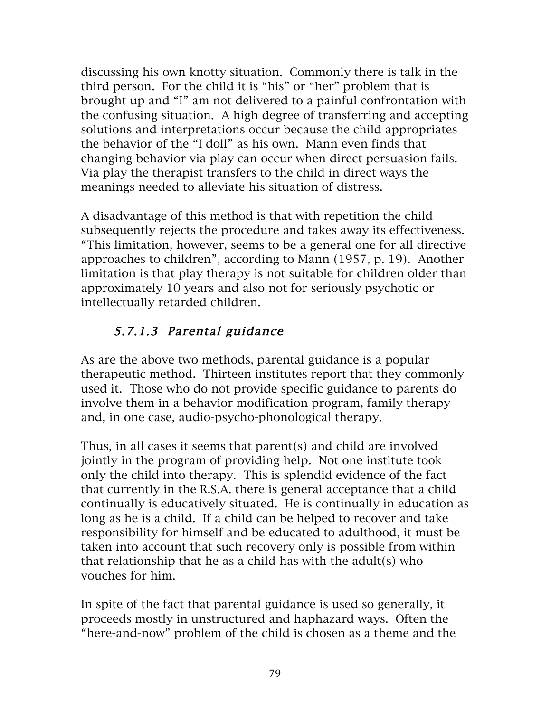discussing his own knotty situation. Commonly there is talk in the third person. For the child it is "his" or "her" problem that is brought up and "I" am not delivered to a painful confrontation with the confusing situation. A high degree of transferring and accepting solutions and interpretations occur because the child appropriates the behavior of the "I doll" as his own. Mann even finds that changing behavior via play can occur when direct persuasion fails. Via play the therapist transfers to the child in direct ways the meanings needed to alleviate his situation of distress.

A disadvantage of this method is that with repetition the child subsequently rejects the procedure and takes away its effectiveness. "This limitation, however, seems to be a general one for all directive approaches to children", according to Mann (1957, p. 19). Another limitation is that play therapy is not suitable for children older than approximately 10 years and also not for seriously psychotic or intellectually retarded children.

# 5.7.1.3 Parental guidance

As are the above two methods, parental guidance is a popular therapeutic method. Thirteen institutes report that they commonly used it. Those who do not provide specific guidance to parents do involve them in a behavior modification program, family therapy and, in one case, audio-psycho-phonological therapy.

Thus, in all cases it seems that parent(s) and child are involved jointly in the program of providing help. Not one institute took only the child into therapy. This is splendid evidence of the fact that currently in the R.S.A. there is general acceptance that a child continually is educatively situated. He is continually in education as long as he is a child. If a child can be helped to recover and take responsibility for himself and be educated to adulthood, it must be taken into account that such recovery only is possible from within that relationship that he as a child has with the adult(s) who vouches for him.

In spite of the fact that parental guidance is used so generally, it proceeds mostly in unstructured and haphazard ways. Often the "here-and-now" problem of the child is chosen as a theme and the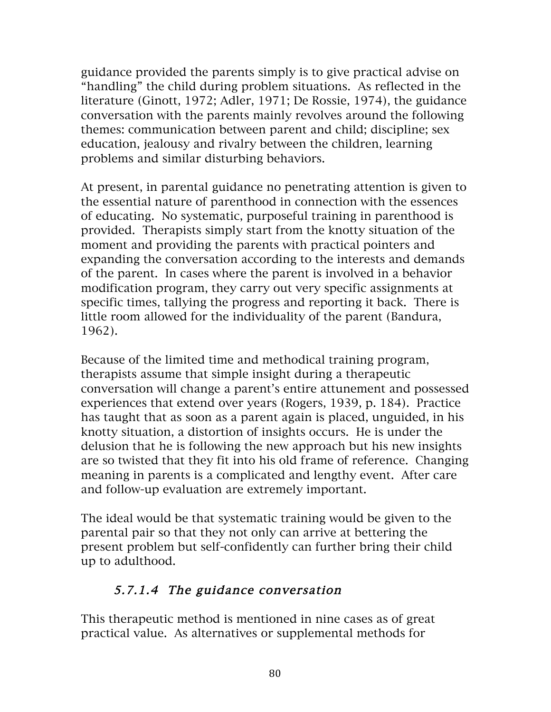guidance provided the parents simply is to give practical advise on "handling" the child during problem situations. As reflected in the literature (Ginott, 1972; Adler, 1971; De Rossie, 1974), the guidance conversation with the parents mainly revolves around the following themes: communication between parent and child; discipline; sex education, jealousy and rivalry between the children, learning problems and similar disturbing behaviors.

At present, in parental guidance no penetrating attention is given to the essential nature of parenthood in connection with the essences of educating. No systematic, purposeful training in parenthood is provided. Therapists simply start from the knotty situation of the moment and providing the parents with practical pointers and expanding the conversation according to the interests and demands of the parent. In cases where the parent is involved in a behavior modification program, they carry out very specific assignments at specific times, tallying the progress and reporting it back. There is little room allowed for the individuality of the parent (Bandura, 1962).

Because of the limited time and methodical training program, therapists assume that simple insight during a therapeutic conversation will change a parent's entire attunement and possessed experiences that extend over years (Rogers, 1939, p. 184). Practice has taught that as soon as a parent again is placed, unguided, in his knotty situation, a distortion of insights occurs. He is under the delusion that he is following the new approach but his new insights are so twisted that they fit into his old frame of reference. Changing meaning in parents is a complicated and lengthy event. After care and follow-up evaluation are extremely important.

The ideal would be that systematic training would be given to the parental pair so that they not only can arrive at bettering the present problem but self-confidently can further bring their child up to adulthood.

# 5.7.1.4 The guidance conversation

This therapeutic method is mentioned in nine cases as of great practical value. As alternatives or supplemental methods for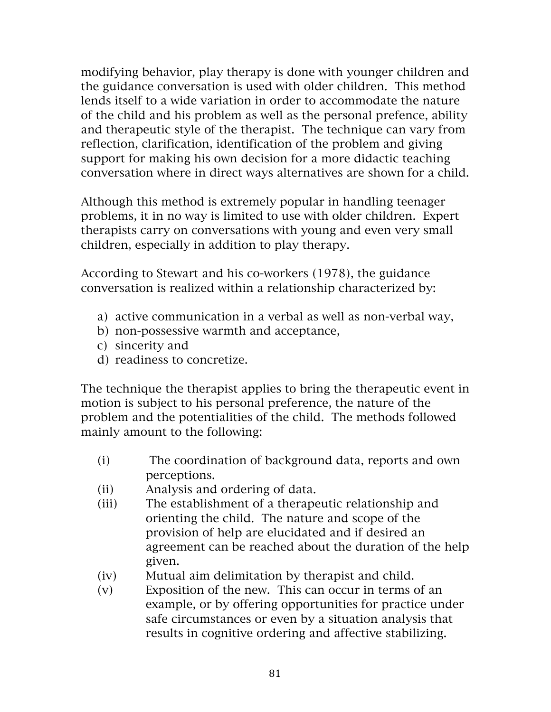modifying behavior, play therapy is done with younger children and the guidance conversation is used with older children. This method lends itself to a wide variation in order to accommodate the nature of the child and his problem as well as the personal prefence, ability and therapeutic style of the therapist. The technique can vary from reflection, clarification, identification of the problem and giving support for making his own decision for a more didactic teaching conversation where in direct ways alternatives are shown for a child.

Although this method is extremely popular in handling teenager problems, it in no way is limited to use with older children. Expert therapists carry on conversations with young and even very small children, especially in addition to play therapy.

According to Stewart and his co-workers (1978), the guidance conversation is realized within a relationship characterized by:

- a) active communication in a verbal as well as non-verbal way,
- b) non-possessive warmth and acceptance,
- c) sincerity and
- d) readiness to concretize.

The technique the therapist applies to bring the therapeutic event in motion is subject to his personal preference, the nature of the problem and the potentialities of the child. The methods followed mainly amount to the following:

- (i) The coordination of background data, reports and own perceptions.
- (ii) Analysis and ordering of data.
- (iii) The establishment of a therapeutic relationship and orienting the child. The nature and scope of the provision of help are elucidated and if desired an agreement can be reached about the duration of the help given.
- (iv) Mutual aim delimitation by therapist and child.
- (v) Exposition of the new. This can occur in terms of an example, or by offering opportunities for practice under safe circumstances or even by a situation analysis that results in cognitive ordering and affective stabilizing.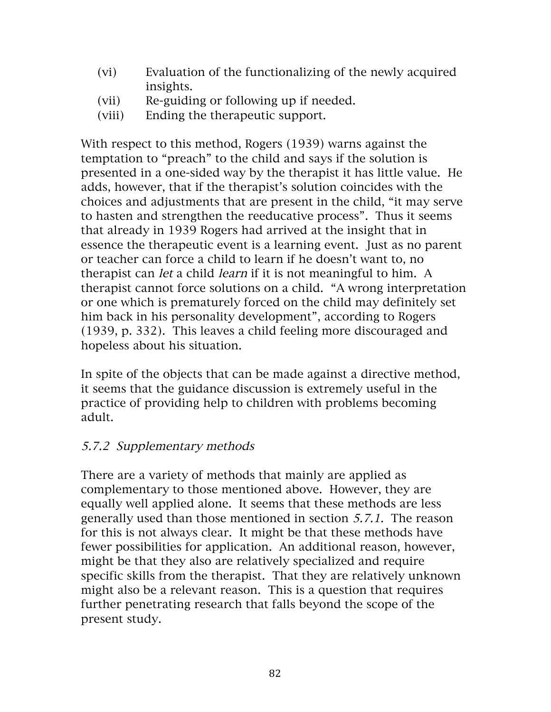- (vi) Evaluation of the functionalizing of the newly acquired insights.
- (vii) Re-guiding or following up if needed.
- (viii) Ending the therapeutic support.

With respect to this method, Rogers (1939) warns against the temptation to "preach" to the child and says if the solution is presented in a one-sided way by the therapist it has little value. He adds, however, that if the therapist's solution coincides with the choices and adjustments that are present in the child, "it may serve to hasten and strengthen the reeducative process". Thus it seems that already in 1939 Rogers had arrived at the insight that in essence the therapeutic event is a learning event. Just as no parent or teacher can force a child to learn if he doesn't want to, no therapist can let a child learn if it is not meaningful to him. A therapist cannot force solutions on a child. "A wrong interpretation or one which is prematurely forced on the child may definitely set him back in his personality development", according to Rogers (1939, p. 332). This leaves a child feeling more discouraged and hopeless about his situation.

In spite of the objects that can be made against a directive method, it seems that the guidance discussion is extremely useful in the practice of providing help to children with problems becoming adult.

### 5.7.2 Supplementary methods

There are a variety of methods that mainly are applied as complementary to those mentioned above. However, they are equally well applied alone. It seems that these methods are less generally used than those mentioned in section 5.7.1. The reason for this is not always clear. It might be that these methods have fewer possibilities for application. An additional reason, however, might be that they also are relatively specialized and require specific skills from the therapist. That they are relatively unknown might also be a relevant reason. This is a question that requires further penetrating research that falls beyond the scope of the present study.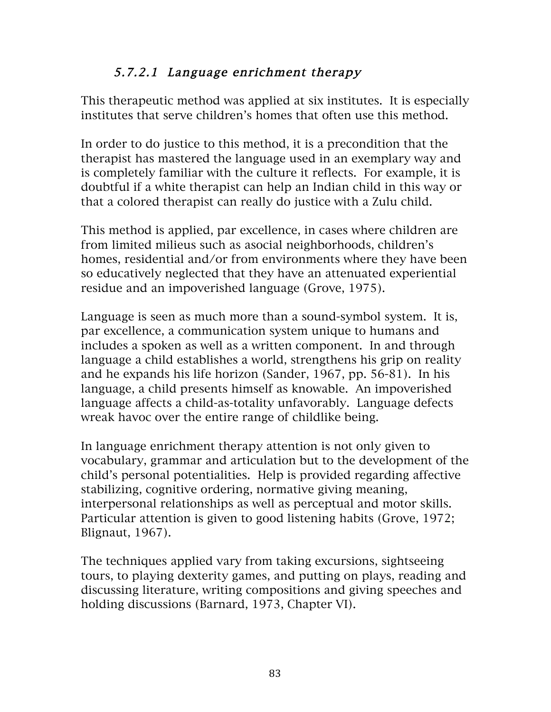### 5.7.2.1 Language enrichment therapy

This therapeutic method was applied at six institutes. It is especially institutes that serve children's homes that often use this method.

In order to do justice to this method, it is a precondition that the therapist has mastered the language used in an exemplary way and is completely familiar with the culture it reflects. For example, it is doubtful if a white therapist can help an Indian child in this way or that a colored therapist can really do justice with a Zulu child.

This method is applied, par excellence, in cases where children are from limited milieus such as asocial neighborhoods, children's homes, residential and/or from environments where they have been so educatively neglected that they have an attenuated experiential residue and an impoverished language (Grove, 1975).

Language is seen as much more than a sound-symbol system. It is, par excellence, a communication system unique to humans and includes a spoken as well as a written component. In and through language a child establishes a world, strengthens his grip on reality and he expands his life horizon (Sander, 1967, pp. 56-81). In his language, a child presents himself as knowable. An impoverished language affects a child-as-totality unfavorably. Language defects wreak havoc over the entire range of childlike being.

In language enrichment therapy attention is not only given to vocabulary, grammar and articulation but to the development of the child's personal potentialities. Help is provided regarding affective stabilizing, cognitive ordering, normative giving meaning, interpersonal relationships as well as perceptual and motor skills. Particular attention is given to good listening habits (Grove, 1972; Blignaut, 1967).

The techniques applied vary from taking excursions, sightseeing tours, to playing dexterity games, and putting on plays, reading and discussing literature, writing compositions and giving speeches and holding discussions (Barnard, 1973, Chapter VI).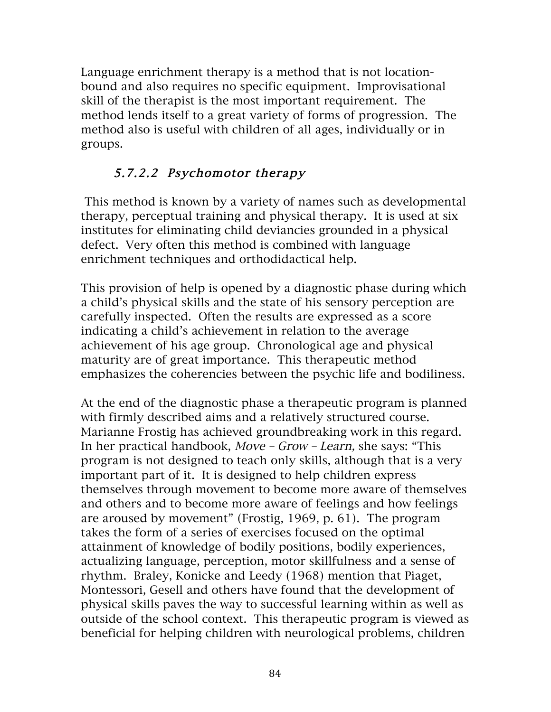Language enrichment therapy is a method that is not locationbound and also requires no specific equipment. Improvisational skill of the therapist is the most important requirement. The method lends itself to a great variety of forms of progression. The method also is useful with children of all ages, individually or in groups.

## 5.7.2.2 Psychomotor therapy

This method is known by a variety of names such as developmental therapy, perceptual training and physical therapy. It is used at six institutes for eliminating child deviancies grounded in a physical defect. Very often this method is combined with language enrichment techniques and orthodidactical help.

This provision of help is opened by a diagnostic phase during which a child's physical skills and the state of his sensory perception are carefully inspected. Often the results are expressed as a score indicating a child's achievement in relation to the average achievement of his age group. Chronological age and physical maturity are of great importance. This therapeutic method emphasizes the coherencies between the psychic life and bodiliness.

At the end of the diagnostic phase a therapeutic program is planned with firmly described aims and a relatively structured course. Marianne Frostig has achieved groundbreaking work in this regard. In her practical handbook, Move – Grow – Learn, she says: "This program is not designed to teach only skills, although that is a very important part of it. It is designed to help children express themselves through movement to become more aware of themselves and others and to become more aware of feelings and how feelings are aroused by movement" (Frostig, 1969, p. 61). The program takes the form of a series of exercises focused on the optimal attainment of knowledge of bodily positions, bodily experiences, actualizing language, perception, motor skillfulness and a sense of rhythm. Braley, Konicke and Leedy (1968) mention that Piaget, Montessori, Gesell and others have found that the development of physical skills paves the way to successful learning within as well as outside of the school context. This therapeutic program is viewed as beneficial for helping children with neurological problems, children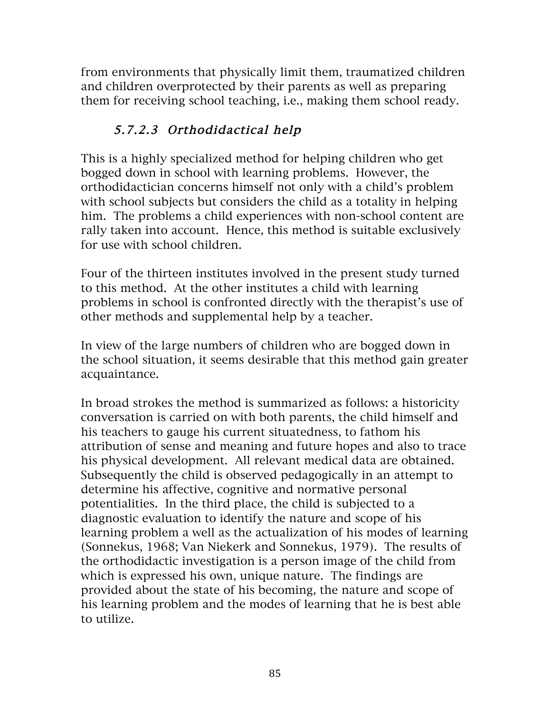from environments that physically limit them, traumatized children and children overprotected by their parents as well as preparing them for receiving school teaching, i.e., making them school ready.

# 5.7.2.3 Orthodidactical help

This is a highly specialized method for helping children who get bogged down in school with learning problems. However, the orthodidactician concerns himself not only with a child's problem with school subjects but considers the child as a totality in helping him. The problems a child experiences with non-school content are rally taken into account. Hence, this method is suitable exclusively for use with school children.

Four of the thirteen institutes involved in the present study turned to this method. At the other institutes a child with learning problems in school is confronted directly with the therapist's use of other methods and supplemental help by a teacher.

In view of the large numbers of children who are bogged down in the school situation, it seems desirable that this method gain greater acquaintance.

In broad strokes the method is summarized as follows: a historicity conversation is carried on with both parents, the child himself and his teachers to gauge his current situatedness, to fathom his attribution of sense and meaning and future hopes and also to trace his physical development. All relevant medical data are obtained. Subsequently the child is observed pedagogically in an attempt to determine his affective, cognitive and normative personal potentialities. In the third place, the child is subjected to a diagnostic evaluation to identify the nature and scope of his learning problem a well as the actualization of his modes of learning (Sonnekus, 1968; Van Niekerk and Sonnekus, 1979). The results of the orthodidactic investigation is a person image of the child from which is expressed his own, unique nature. The findings are provided about the state of his becoming, the nature and scope of his learning problem and the modes of learning that he is best able to utilize.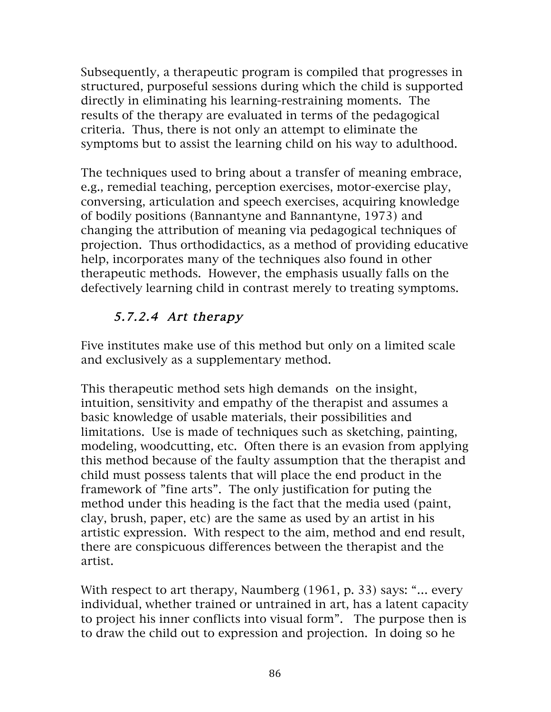Subsequently, a therapeutic program is compiled that progresses in structured, purposeful sessions during which the child is supported directly in eliminating his learning-restraining moments. The results of the therapy are evaluated in terms of the pedagogical criteria. Thus, there is not only an attempt to eliminate the symptoms but to assist the learning child on his way to adulthood.

The techniques used to bring about a transfer of meaning embrace, e.g., remedial teaching, perception exercises, motor-exercise play, conversing, articulation and speech exercises, acquiring knowledge of bodily positions (Bannantyne and Bannantyne, 1973) and changing the attribution of meaning via pedagogical techniques of projection. Thus orthodidactics, as a method of providing educative help, incorporates many of the techniques also found in other therapeutic methods. However, the emphasis usually falls on the defectively learning child in contrast merely to treating symptoms.

# 5.7.2.4 Art therapy

Five institutes make use of this method but only on a limited scale and exclusively as a supplementary method.

This therapeutic method sets high demands on the insight, intuition, sensitivity and empathy of the therapist and assumes a basic knowledge of usable materials, their possibilities and limitations. Use is made of techniques such as sketching, painting, modeling, woodcutting, etc. Often there is an evasion from applying this method because of the faulty assumption that the therapist and child must possess talents that will place the end product in the framework of "fine arts". The only justification for puting the method under this heading is the fact that the media used (paint, clay, brush, paper, etc) are the same as used by an artist in his artistic expression. With respect to the aim, method and end result, there are conspicuous differences between the therapist and the artist.

With respect to art therapy, Naumberg (1961, p. 33) says: "… every individual, whether trained or untrained in art, has a latent capacity to project his inner conflicts into visual form". The purpose then is to draw the child out to expression and projection. In doing so he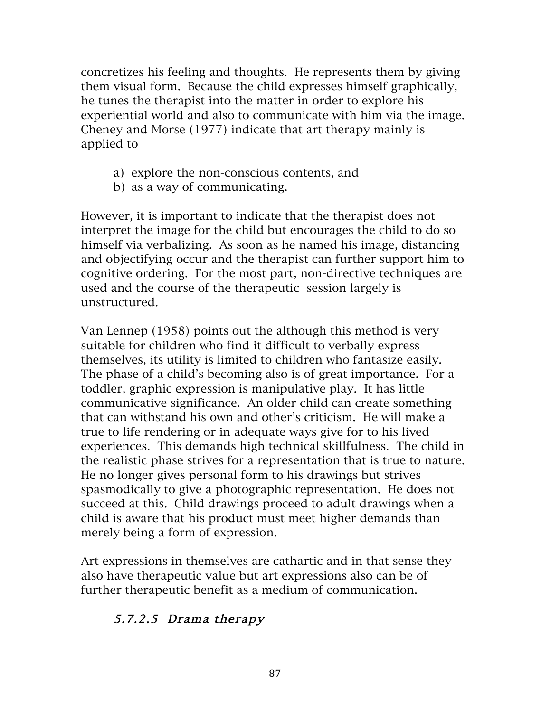concretizes his feeling and thoughts. He represents them by giving them visual form. Because the child expresses himself graphically, he tunes the therapist into the matter in order to explore his experiential world and also to communicate with him via the image. Cheney and Morse (1977) indicate that art therapy mainly is applied to

- a) explore the non-conscious contents, and
- b) as a way of communicating.

However, it is important to indicate that the therapist does not interpret the image for the child but encourages the child to do so himself via verbalizing. As soon as he named his image, distancing and objectifying occur and the therapist can further support him to cognitive ordering. For the most part, non-directive techniques are used and the course of the therapeutic session largely is unstructured.

Van Lennep (1958) points out the although this method is very suitable for children who find it difficult to verbally express themselves, its utility is limited to children who fantasize easily. The phase of a child's becoming also is of great importance. For a toddler, graphic expression is manipulative play. It has little communicative significance. An older child can create something that can withstand his own and other's criticism. He will make a true to life rendering or in adequate ways give for to his lived experiences. This demands high technical skillfulness. The child in the realistic phase strives for a representation that is true to nature. He no longer gives personal form to his drawings but strives spasmodically to give a photographic representation. He does not succeed at this. Child drawings proceed to adult drawings when a child is aware that his product must meet higher demands than merely being a form of expression.

Art expressions in themselves are cathartic and in that sense they also have therapeutic value but art expressions also can be of further therapeutic benefit as a medium of communication.

### 5.7.2.5 Drama therapy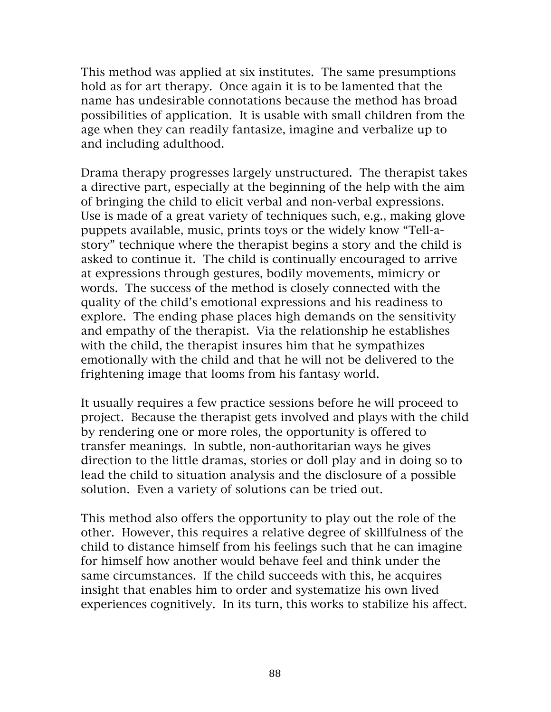This method was applied at six institutes. The same presumptions hold as for art therapy. Once again it is to be lamented that the name has undesirable connotations because the method has broad possibilities of application. It is usable with small children from the age when they can readily fantasize, imagine and verbalize up to and including adulthood.

Drama therapy progresses largely unstructured. The therapist takes a directive part, especially at the beginning of the help with the aim of bringing the child to elicit verbal and non-verbal expressions. Use is made of a great variety of techniques such, e.g., making glove puppets available, music, prints toys or the widely know "Tell-astory" technique where the therapist begins a story and the child is asked to continue it. The child is continually encouraged to arrive at expressions through gestures, bodily movements, mimicry or words. The success of the method is closely connected with the quality of the child's emotional expressions and his readiness to explore. The ending phase places high demands on the sensitivity and empathy of the therapist. Via the relationship he establishes with the child, the therapist insures him that he sympathizes emotionally with the child and that he will not be delivered to the frightening image that looms from his fantasy world.

It usually requires a few practice sessions before he will proceed to project. Because the therapist gets involved and plays with the child by rendering one or more roles, the opportunity is offered to transfer meanings. In subtle, non-authoritarian ways he gives direction to the little dramas, stories or doll play and in doing so to lead the child to situation analysis and the disclosure of a possible solution. Even a variety of solutions can be tried out.

This method also offers the opportunity to play out the role of the other. However, this requires a relative degree of skillfulness of the child to distance himself from his feelings such that he can imagine for himself how another would behave feel and think under the same circumstances. If the child succeeds with this, he acquires insight that enables him to order and systematize his own lived experiences cognitively. In its turn, this works to stabilize his affect.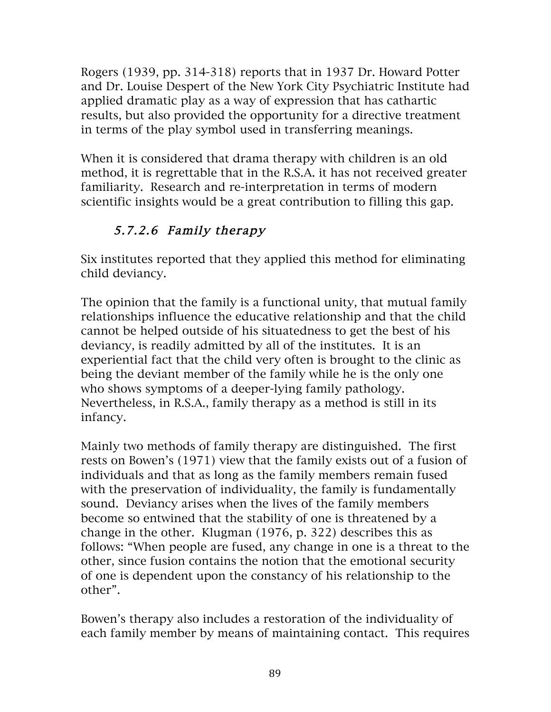Rogers (1939, pp. 314-318) reports that in 1937 Dr. Howard Potter and Dr. Louise Despert of the New York City Psychiatric Institute had applied dramatic play as a way of expression that has cathartic results, but also provided the opportunity for a directive treatment in terms of the play symbol used in transferring meanings.

When it is considered that drama therapy with children is an old method, it is regrettable that in the R.S.A. it has not received greater familiarity. Research and re-interpretation in terms of modern scientific insights would be a great contribution to filling this gap.

# 5.7.2.6 Family therapy

Six institutes reported that they applied this method for eliminating child deviancy.

The opinion that the family is a functional unity, that mutual family relationships influence the educative relationship and that the child cannot be helped outside of his situatedness to get the best of his deviancy, is readily admitted by all of the institutes. It is an experiential fact that the child very often is brought to the clinic as being the deviant member of the family while he is the only one who shows symptoms of a deeper-lying family pathology. Nevertheless, in R.S.A., family therapy as a method is still in its infancy.

Mainly two methods of family therapy are distinguished. The first rests on Bowen's (1971) view that the family exists out of a fusion of individuals and that as long as the family members remain fused with the preservation of individuality, the family is fundamentally sound. Deviancy arises when the lives of the family members become so entwined that the stability of one is threatened by a change in the other. Klugman (1976, p. 322) describes this as follows: "When people are fused, any change in one is a threat to the other, since fusion contains the notion that the emotional security of one is dependent upon the constancy of his relationship to the other".

Bowen's therapy also includes a restoration of the individuality of each family member by means of maintaining contact. This requires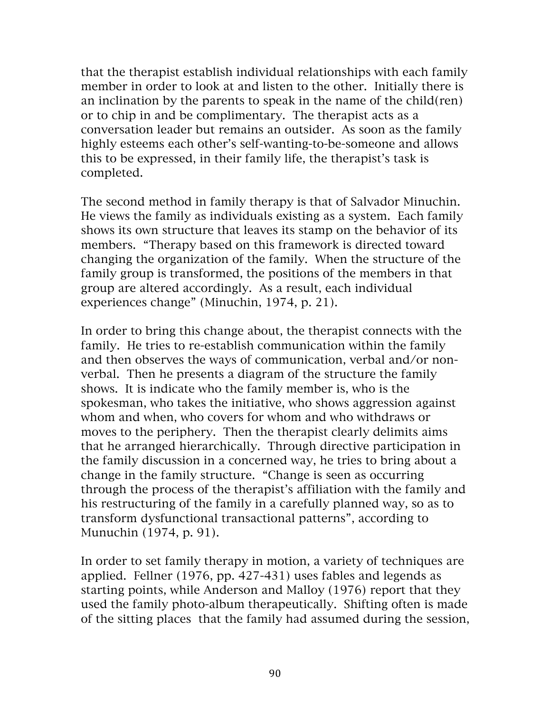that the therapist establish individual relationships with each family member in order to look at and listen to the other. Initially there is an inclination by the parents to speak in the name of the child(ren) or to chip in and be complimentary. The therapist acts as a conversation leader but remains an outsider. As soon as the family highly esteems each other's self-wanting-to-be-someone and allows this to be expressed, in their family life, the therapist's task is completed.

The second method in family therapy is that of Salvador Minuchin. He views the family as individuals existing as a system. Each family shows its own structure that leaves its stamp on the behavior of its members. "Therapy based on this framework is directed toward changing the organization of the family. When the structure of the family group is transformed, the positions of the members in that group are altered accordingly. As a result, each individual experiences change" (Minuchin, 1974, p. 21).

In order to bring this change about, the therapist connects with the family. He tries to re-establish communication within the family and then observes the ways of communication, verbal and/or nonverbal. Then he presents a diagram of the structure the family shows. It is indicate who the family member is, who is the spokesman, who takes the initiative, who shows aggression against whom and when, who covers for whom and who withdraws or moves to the periphery. Then the therapist clearly delimits aims that he arranged hierarchically. Through directive participation in the family discussion in a concerned way, he tries to bring about a change in the family structure. "Change is seen as occurring through the process of the therapist's affiliation with the family and his restructuring of the family in a carefully planned way, so as to transform dysfunctional transactional patterns", according to Munuchin (1974, p. 91).

In order to set family therapy in motion, a variety of techniques are applied. Fellner (1976, pp. 427-431) uses fables and legends as starting points, while Anderson and Malloy (1976) report that they used the family photo-album therapeutically. Shifting often is made of the sitting places that the family had assumed during the session,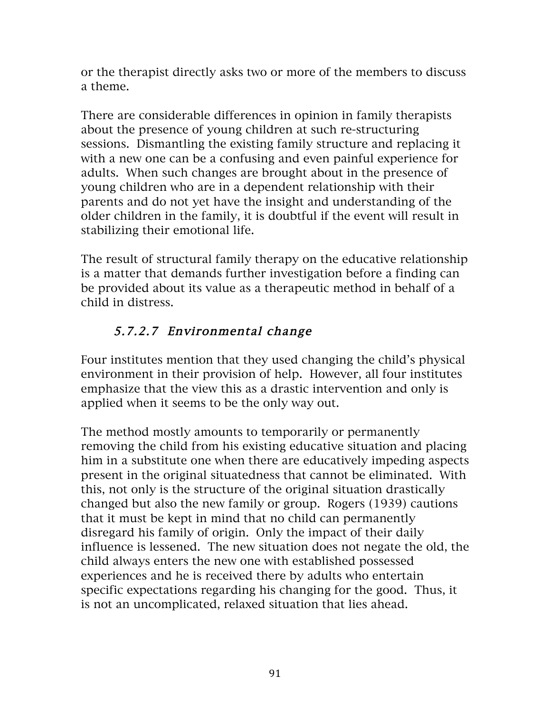or the therapist directly asks two or more of the members to discuss a theme.

There are considerable differences in opinion in family therapists about the presence of young children at such re-structuring sessions. Dismantling the existing family structure and replacing it with a new one can be a confusing and even painful experience for adults. When such changes are brought about in the presence of young children who are in a dependent relationship with their parents and do not yet have the insight and understanding of the older children in the family, it is doubtful if the event will result in stabilizing their emotional life.

The result of structural family therapy on the educative relationship is a matter that demands further investigation before a finding can be provided about its value as a therapeutic method in behalf of a child in distress.

# 5.7.2.7 Environmental change

Four institutes mention that they used changing the child's physical environment in their provision of help. However, all four institutes emphasize that the view this as a drastic intervention and only is applied when it seems to be the only way out.

The method mostly amounts to temporarily or permanently removing the child from his existing educative situation and placing him in a substitute one when there are educatively impeding aspects present in the original situatedness that cannot be eliminated. With this, not only is the structure of the original situation drastically changed but also the new family or group. Rogers (1939) cautions that it must be kept in mind that no child can permanently disregard his family of origin. Only the impact of their daily influence is lessened. The new situation does not negate the old, the child always enters the new one with established possessed experiences and he is received there by adults who entertain specific expectations regarding his changing for the good. Thus, it is not an uncomplicated, relaxed situation that lies ahead.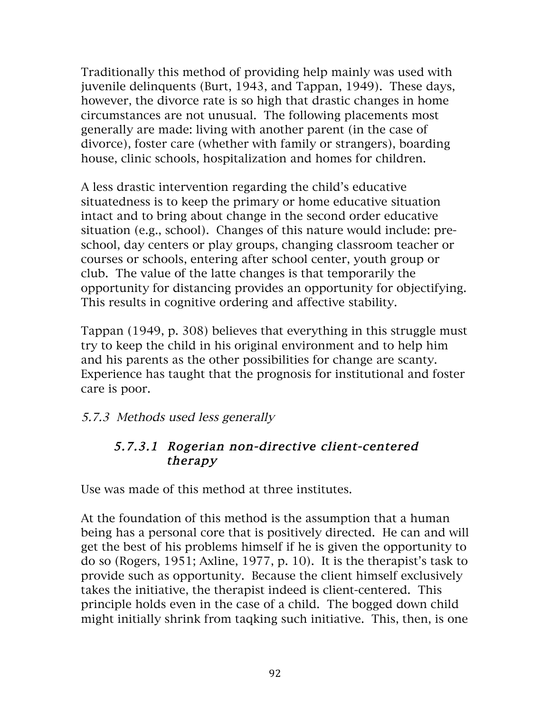Traditionally this method of providing help mainly was used with juvenile delinquents (Burt, 1943, and Tappan, 1949). These days, however, the divorce rate is so high that drastic changes in home circumstances are not unusual. The following placements most generally are made: living with another parent (in the case of divorce), foster care (whether with family or strangers), boarding house, clinic schools, hospitalization and homes for children.

A less drastic intervention regarding the child's educative situatedness is to keep the primary or home educative situation intact and to bring about change in the second order educative situation (e.g., school). Changes of this nature would include: preschool, day centers or play groups, changing classroom teacher or courses or schools, entering after school center, youth group or club. The value of the latte changes is that temporarily the opportunity for distancing provides an opportunity for objectifying. This results in cognitive ordering and affective stability.

Tappan (1949, p. 308) believes that everything in this struggle must try to keep the child in his original environment and to help him and his parents as the other possibilities for change are scanty. Experience has taught that the prognosis for institutional and foster care is poor.

### 5.7.3 Methods used less generally

### 5.7.3.1 Rogerian non-directive client-centered therapy

Use was made of this method at three institutes.

At the foundation of this method is the assumption that a human being has a personal core that is positively directed. He can and will get the best of his problems himself if he is given the opportunity to do so (Rogers, 1951; Axline, 1977, p. 10). It is the therapist's task to provide such as opportunity. Because the client himself exclusively takes the initiative, the therapist indeed is client-centered. This principle holds even in the case of a child. The bogged down child might initially shrink from taqking such initiative. This, then, is one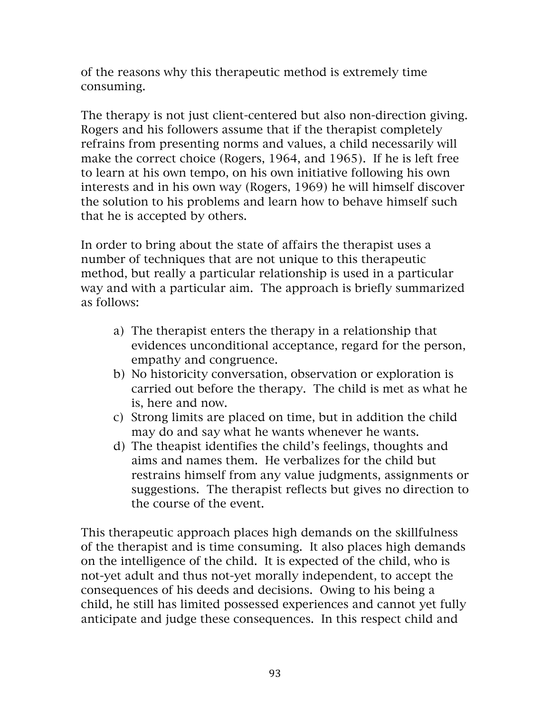of the reasons why this therapeutic method is extremely time consuming.

The therapy is not just client-centered but also non-direction giving. Rogers and his followers assume that if the therapist completely refrains from presenting norms and values, a child necessarily will make the correct choice (Rogers, 1964, and 1965). If he is left free to learn at his own tempo, on his own initiative following his own interests and in his own way (Rogers, 1969) he will himself discover the solution to his problems and learn how to behave himself such that he is accepted by others.

In order to bring about the state of affairs the therapist uses a number of techniques that are not unique to this therapeutic method, but really a particular relationship is used in a particular way and with a particular aim. The approach is briefly summarized as follows:

- a) The therapist enters the therapy in a relationship that evidences unconditional acceptance, regard for the person, empathy and congruence.
- b) No historicity conversation, observation or exploration is carried out before the therapy. The child is met as what he is, here and now.
- c) Strong limits are placed on time, but in addition the child may do and say what he wants whenever he wants.
- d) The theapist identifies the child's feelings, thoughts and aims and names them. He verbalizes for the child but restrains himself from any value judgments, assignments or suggestions. The therapist reflects but gives no direction to the course of the event.

This therapeutic approach places high demands on the skillfulness of the therapist and is time consuming. It also places high demands on the intelligence of the child. It is expected of the child, who is not-yet adult and thus not-yet morally independent, to accept the consequences of his deeds and decisions. Owing to his being a child, he still has limited possessed experiences and cannot yet fully anticipate and judge these consequences. In this respect child and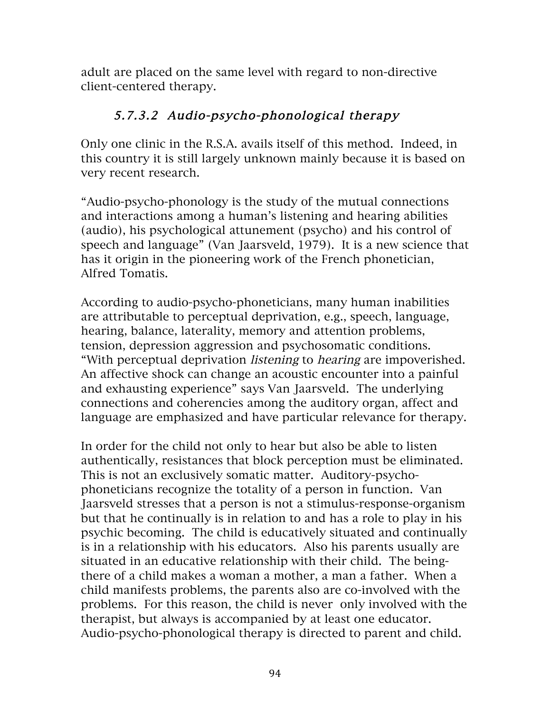adult are placed on the same level with regard to non-directive client-centered therapy.

### 5.7.3.2 Audio-psycho-phonological therapy

Only one clinic in the R.S.A. avails itself of this method. Indeed, in this country it is still largely unknown mainly because it is based on very recent research.

"Audio-psycho-phonology is the study of the mutual connections and interactions among a human's listening and hearing abilities (audio), his psychological attunement (psycho) and his control of speech and language" (Van Jaarsveld, 1979). It is a new science that has it origin in the pioneering work of the French phonetician, Alfred Tomatis.

According to audio-psycho-phoneticians, many human inabilities are attributable to perceptual deprivation, e.g., speech, language, hearing, balance, laterality, memory and attention problems, tension, depression aggression and psychosomatic conditions. "With perceptual deprivation listening to hearing are impoverished. An affective shock can change an acoustic encounter into a painful and exhausting experience" says Van Jaarsveld. The underlying connections and coherencies among the auditory organ, affect and language are emphasized and have particular relevance for therapy.

In order for the child not only to hear but also be able to listen authentically, resistances that block perception must be eliminated. This is not an exclusively somatic matter. Auditory-psychophoneticians recognize the totality of a person in function. Van Jaarsveld stresses that a person is not a stimulus-response-organism but that he continually is in relation to and has a role to play in his psychic becoming. The child is educatively situated and continually is in a relationship with his educators. Also his parents usually are situated in an educative relationship with their child. The beingthere of a child makes a woman a mother, a man a father. When a child manifests problems, the parents also are co-involved with the problems. For this reason, the child is never only involved with the therapist, but always is accompanied by at least one educator. Audio-psycho-phonological therapy is directed to parent and child.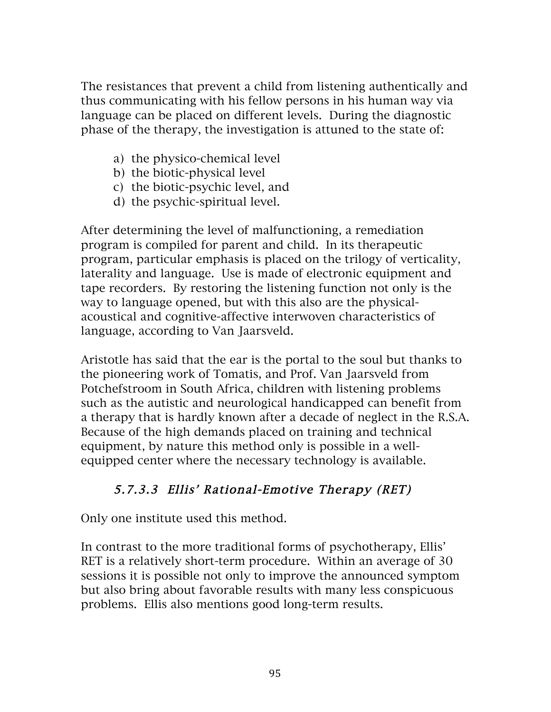The resistances that prevent a child from listening authentically and thus communicating with his fellow persons in his human way via language can be placed on different levels. During the diagnostic phase of the therapy, the investigation is attuned to the state of:

- a) the physico-chemical level
- b) the biotic-physical level
- c) the biotic-psychic level, and
- d) the psychic-spiritual level.

After determining the level of malfunctioning, a remediation program is compiled for parent and child. In its therapeutic program, particular emphasis is placed on the trilogy of verticality, laterality and language. Use is made of electronic equipment and tape recorders. By restoring the listening function not only is the way to language opened, but with this also are the physicalacoustical and cognitive-affective interwoven characteristics of language, according to Van Jaarsveld.

Aristotle has said that the ear is the portal to the soul but thanks to the pioneering work of Tomatis, and Prof. Van Jaarsveld from Potchefstroom in South Africa, children with listening problems such as the autistic and neurological handicapped can benefit from a therapy that is hardly known after a decade of neglect in the R.S.A. Because of the high demands placed on training and technical equipment, by nature this method only is possible in a wellequipped center where the necessary technology is available.

# 5.7.3.3 Ellis' Rational-Emotive Therapy (RET)

Only one institute used this method.

In contrast to the more traditional forms of psychotherapy, Ellis' RET is a relatively short-term procedure. Within an average of 30 sessions it is possible not only to improve the announced symptom but also bring about favorable results with many less conspicuous problems. Ellis also mentions good long-term results.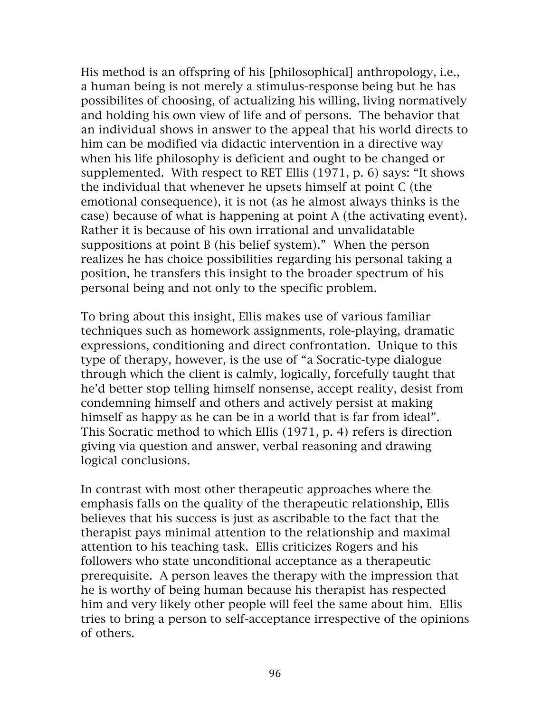His method is an offspring of his [philosophical] anthropology, i.e., a human being is not merely a stimulus-response being but he has possibilites of choosing, of actualizing his willing, living normatively and holding his own view of life and of persons. The behavior that an individual shows in answer to the appeal that his world directs to him can be modified via didactic intervention in a directive way when his life philosophy is deficient and ought to be changed or supplemented. With respect to RET Ellis (1971, p. 6) says: "It shows the individual that whenever he upsets himself at point C (the emotional consequence), it is not (as he almost always thinks is the case) because of what is happening at point A (the activating event). Rather it is because of his own irrational and unvalidatable suppositions at point B (his belief system)." When the person realizes he has choice possibilities regarding his personal taking a position, he transfers this insight to the broader spectrum of his personal being and not only to the specific problem.

To bring about this insight, Ellis makes use of various familiar techniques such as homework assignments, role-playing, dramatic expressions, conditioning and direct confrontation. Unique to this type of therapy, however, is the use of "a Socratic-type dialogue through which the client is calmly, logically, forcefully taught that he'd better stop telling himself nonsense, accept reality, desist from condemning himself and others and actively persist at making himself as happy as he can be in a world that is far from ideal". This Socratic method to which Ellis (1971, p. 4) refers is direction giving via question and answer, verbal reasoning and drawing logical conclusions.

In contrast with most other therapeutic approaches where the emphasis falls on the quality of the therapeutic relationship, Ellis believes that his success is just as ascribable to the fact that the therapist pays minimal attention to the relationship and maximal attention to his teaching task. Ellis criticizes Rogers and his followers who state unconditional acceptance as a therapeutic prerequisite. A person leaves the therapy with the impression that he is worthy of being human because his therapist has respected him and very likely other people will feel the same about him. Ellis tries to bring a person to self-acceptance irrespective of the opinions of others.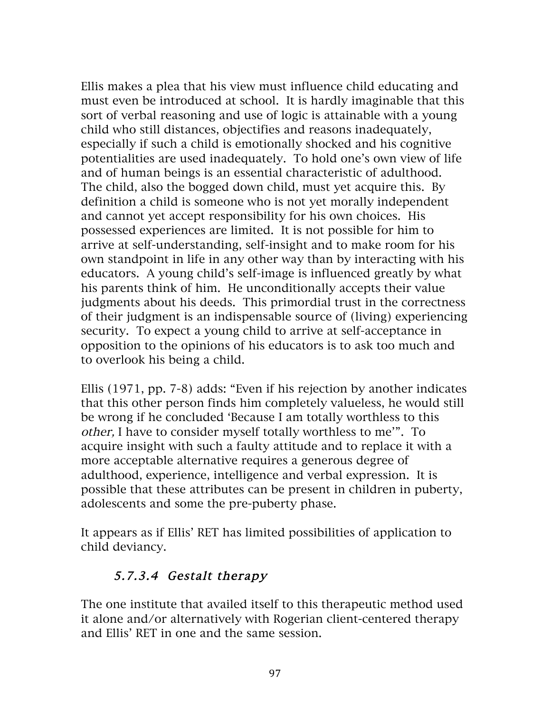Ellis makes a plea that his view must influence child educating and must even be introduced at school. It is hardly imaginable that this sort of verbal reasoning and use of logic is attainable with a young child who still distances, objectifies and reasons inadequately, especially if such a child is emotionally shocked and his cognitive potentialities are used inadequately. To hold one's own view of life and of human beings is an essential characteristic of adulthood. The child, also the bogged down child, must yet acquire this. By definition a child is someone who is not yet morally independent and cannot yet accept responsibility for his own choices. His possessed experiences are limited. It is not possible for him to arrive at self-understanding, self-insight and to make room for his own standpoint in life in any other way than by interacting with his educators. A young child's self-image is influenced greatly by what his parents think of him. He unconditionally accepts their value judgments about his deeds. This primordial trust in the correctness of their judgment is an indispensable source of (living) experiencing security. To expect a young child to arrive at self-acceptance in opposition to the opinions of his educators is to ask too much and to overlook his being a child.

Ellis (1971, pp. 7-8) adds: "Even if his rejection by another indicates that this other person finds him completely valueless, he would still be wrong if he concluded 'Because I am totally worthless to this other, I have to consider myself totally worthless to me'". To acquire insight with such a faulty attitude and to replace it with a more acceptable alternative requires a generous degree of adulthood, experience, intelligence and verbal expression. It is possible that these attributes can be present in children in puberty, adolescents and some the pre-puberty phase.

It appears as if Ellis' RET has limited possibilities of application to child deviancy.

### 5.7.3.4 Gestalt therapy

The one institute that availed itself to this therapeutic method used it alone and/or alternatively with Rogerian client-centered therapy and Ellis' RET in one and the same session.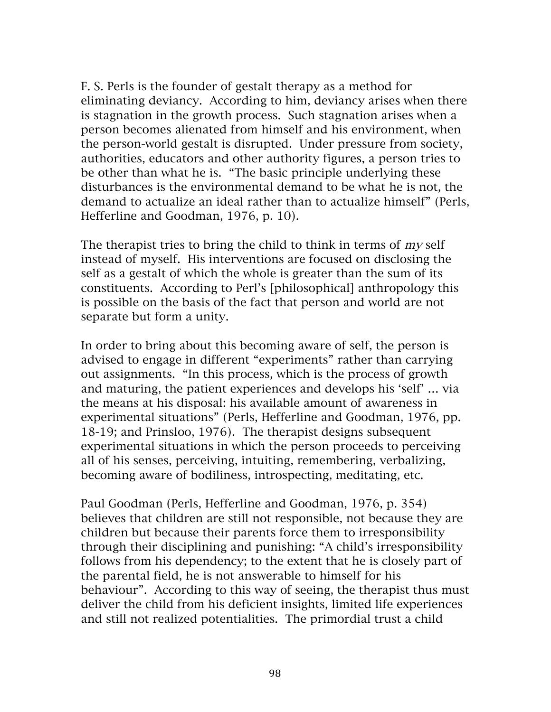F. S. Perls is the founder of gestalt therapy as a method for eliminating deviancy. According to him, deviancy arises when there is stagnation in the growth process. Such stagnation arises when a person becomes alienated from himself and his environment, when the person-world gestalt is disrupted. Under pressure from society, authorities, educators and other authority figures, a person tries to be other than what he is. "The basic principle underlying these disturbances is the environmental demand to be what he is not, the demand to actualize an ideal rather than to actualize himself" (Perls, Hefferline and Goodman, 1976, p. 10).

The therapist tries to bring the child to think in terms of my self instead of myself. His interventions are focused on disclosing the self as a gestalt of which the whole is greater than the sum of its constituents. According to Perl's [philosophical] anthropology this is possible on the basis of the fact that person and world are not separate but form a unity.

In order to bring about this becoming aware of self, the person is advised to engage in different "experiments" rather than carrying out assignments. "In this process, which is the process of growth and maturing, the patient experiences and develops his 'self' … via the means at his disposal: his available amount of awareness in experimental situations" (Perls, Hefferline and Goodman, 1976, pp. 18-19; and Prinsloo, 1976). The therapist designs subsequent experimental situations in which the person proceeds to perceiving all of his senses, perceiving, intuiting, remembering, verbalizing, becoming aware of bodiliness, introspecting, meditating, etc.

Paul Goodman (Perls, Hefferline and Goodman, 1976, p. 354) believes that children are still not responsible, not because they are children but because their parents force them to irresponsibility through their disciplining and punishing: "A child's irresponsibility follows from his dependency; to the extent that he is closely part of the parental field, he is not answerable to himself for his behaviour". According to this way of seeing, the therapist thus must deliver the child from his deficient insights, limited life experiences and still not realized potentialities. The primordial trust a child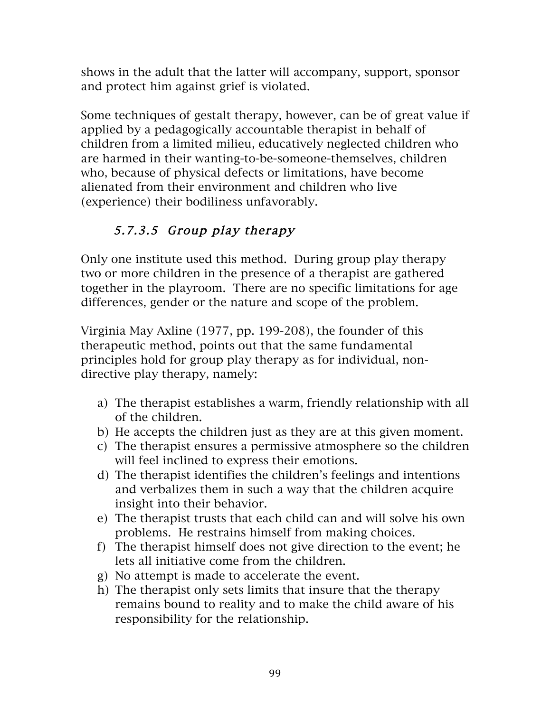shows in the adult that the latter will accompany, support, sponsor and protect him against grief is violated.

Some techniques of gestalt therapy, however, can be of great value if applied by a pedagogically accountable therapist in behalf of children from a limited milieu, educatively neglected children who are harmed in their wanting-to-be-someone-themselves, children who, because of physical defects or limitations, have become alienated from their environment and children who live (experience) their bodiliness unfavorably.

# 5.7.3.5 Group play therapy

Only one institute used this method. During group play therapy two or more children in the presence of a therapist are gathered together in the playroom. There are no specific limitations for age differences, gender or the nature and scope of the problem.

Virginia May Axline (1977, pp. 199-208), the founder of this therapeutic method, points out that the same fundamental principles hold for group play therapy as for individual, nondirective play therapy, namely:

- a) The therapist establishes a warm, friendly relationship with all of the children.
- b) He accepts the children just as they are at this given moment.
- c) The therapist ensures a permissive atmosphere so the children will feel inclined to express their emotions.
- d) The therapist identifies the children's feelings and intentions and verbalizes them in such a way that the children acquire insight into their behavior.
- e) The therapist trusts that each child can and will solve his own problems. He restrains himself from making choices.
- f) The therapist himself does not give direction to the event; he lets all initiative come from the children.
- g) No attempt is made to accelerate the event.
- h) The therapist only sets limits that insure that the therapy remains bound to reality and to make the child aware of his responsibility for the relationship.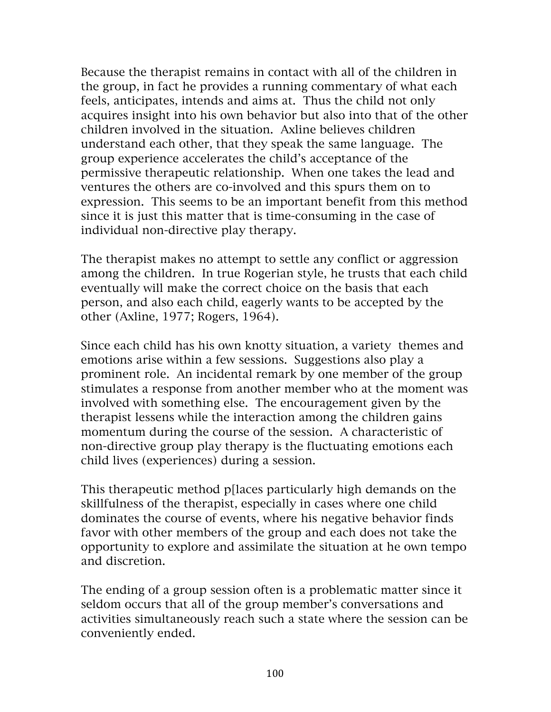Because the therapist remains in contact with all of the children in the group, in fact he provides a running commentary of what each feels, anticipates, intends and aims at. Thus the child not only acquires insight into his own behavior but also into that of the other children involved in the situation. Axline believes children understand each other, that they speak the same language. The group experience accelerates the child's acceptance of the permissive therapeutic relationship. When one takes the lead and ventures the others are co-involved and this spurs them on to expression. This seems to be an important benefit from this method since it is just this matter that is time-consuming in the case of individual non-directive play therapy.

The therapist makes no attempt to settle any conflict or aggression among the children. In true Rogerian style, he trusts that each child eventually will make the correct choice on the basis that each person, and also each child, eagerly wants to be accepted by the other (Axline, 1977; Rogers, 1964).

Since each child has his own knotty situation, a variety themes and emotions arise within a few sessions. Suggestions also play a prominent role. An incidental remark by one member of the group stimulates a response from another member who at the moment was involved with something else. The encouragement given by the therapist lessens while the interaction among the children gains momentum during the course of the session. A characteristic of non-directive group play therapy is the fluctuating emotions each child lives (experiences) during a session.

This therapeutic method p[laces particularly high demands on the skillfulness of the therapist, especially in cases where one child dominates the course of events, where his negative behavior finds favor with other members of the group and each does not take the opportunity to explore and assimilate the situation at he own tempo and discretion.

The ending of a group session often is a problematic matter since it seldom occurs that all of the group member's conversations and activities simultaneously reach such a state where the session can be conveniently ended.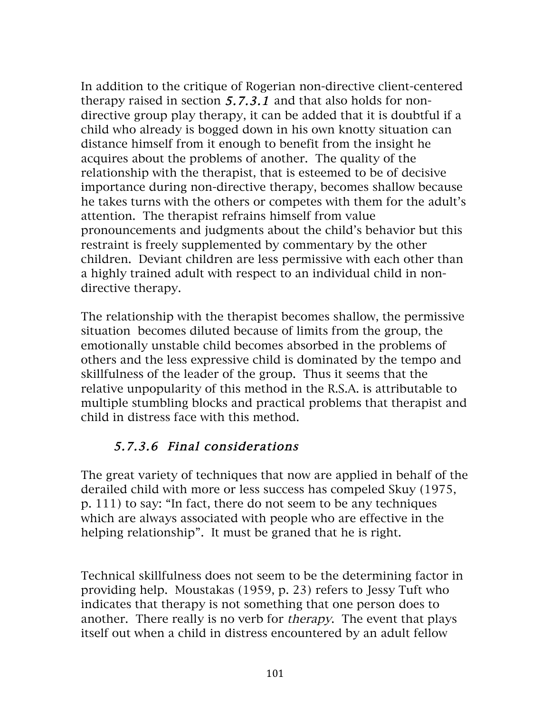In addition to the critique of Rogerian non-directive client-centered therapy raised in section 5.7.3.1 and that also holds for nondirective group play therapy, it can be added that it is doubtful if a child who already is bogged down in his own knotty situation can distance himself from it enough to benefit from the insight he acquires about the problems of another. The quality of the relationship with the therapist, that is esteemed to be of decisive importance during non-directive therapy, becomes shallow because he takes turns with the others or competes with them for the adult's attention. The therapist refrains himself from value pronouncements and judgments about the child's behavior but this restraint is freely supplemented by commentary by the other children. Deviant children are less permissive with each other than a highly trained adult with respect to an individual child in nondirective therapy.

The relationship with the therapist becomes shallow, the permissive situation becomes diluted because of limits from the group, the emotionally unstable child becomes absorbed in the problems of others and the less expressive child is dominated by the tempo and skillfulness of the leader of the group. Thus it seems that the relative unpopularity of this method in the R.S.A. is attributable to multiple stumbling blocks and practical problems that therapist and child in distress face with this method.

### 5.7.3.6 Final considerations

The great variety of techniques that now are applied in behalf of the derailed child with more or less success has compeled Skuy (1975, p. 111) to say: "In fact, there do not seem to be any techniques which are always associated with people who are effective in the helping relationship". It must be graned that he is right.

Technical skillfulness does not seem to be the determining factor in providing help. Moustakas (1959, p. 23) refers to Jessy Tuft who indicates that therapy is not something that one person does to another. There really is no verb for therapy. The event that plays itself out when a child in distress encountered by an adult fellow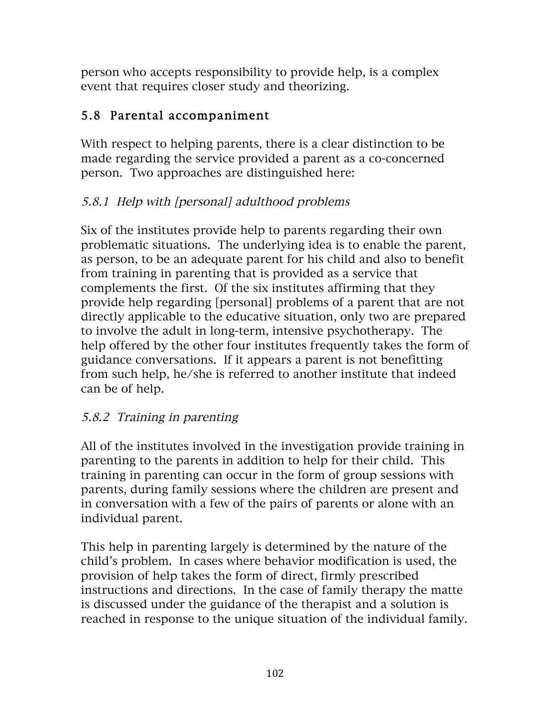person who accepts responsibility to provide help, is a complex event that requires closer study and theorizing.

## 5.8 Parental accompaniment

With respect to helping parents, there is a clear distinction to be made regarding the service provided a parent as a co-concerned person. Two approaches are distinguished here:

### 5.8.1 Help with [personal] adulthood problems

Six of the institutes provide help to parents regarding their own problematic situations. The underlying idea is to enable the parent, as person, to be an adequate parent for his child and also to benefit from training in parenting that is provided as a service that complements the first. Of the six institutes affirming that they provide help regarding [personal] problems of a parent that are not directly applicable to the educative situation, only two are prepared to involve the adult in long-term, intensive psychotherapy. The help offered by the other four institutes frequently takes the form of guidance conversations. If it appears a parent is not benefitting from such help, he/she is referred to another institute that indeed can be of help.

### 5.8.2 Training in parenting

All of the institutes involved in the investigation provide training in parenting to the parents in addition to help for their child. This training in parenting can occur in the form of group sessions with parents, during family sessions where the children are present and in conversation with a few of the pairs of parents or alone with an individual parent.

This help in parenting largely is determined by the nature of the child's problem. In cases where behavior modification is used, the provision of help takes the form of direct, firmly prescribed instructions and directions. In the case of family therapy the matte is discussed under the guidance of the therapist and a solution is reached in response to the unique situation of the individual family.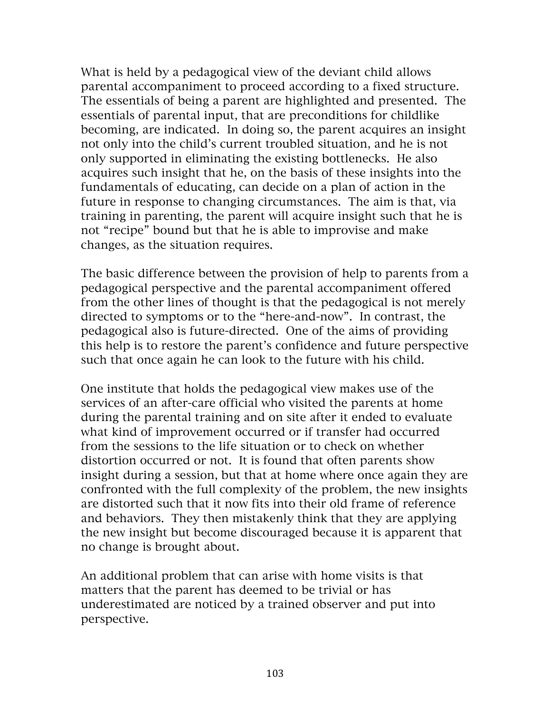What is held by a pedagogical view of the deviant child allows parental accompaniment to proceed according to a fixed structure. The essentials of being a parent are highlighted and presented. The essentials of parental input, that are preconditions for childlike becoming, are indicated. In doing so, the parent acquires an insight not only into the child's current troubled situation, and he is not only supported in eliminating the existing bottlenecks. He also acquires such insight that he, on the basis of these insights into the fundamentals of educating, can decide on a plan of action in the future in response to changing circumstances. The aim is that, via training in parenting, the parent will acquire insight such that he is not "recipe" bound but that he is able to improvise and make changes, as the situation requires.

The basic difference between the provision of help to parents from a pedagogical perspective and the parental accompaniment offered from the other lines of thought is that the pedagogical is not merely directed to symptoms or to the "here-and-now". In contrast, the pedagogical also is future-directed. One of the aims of providing this help is to restore the parent's confidence and future perspective such that once again he can look to the future with his child.

One institute that holds the pedagogical view makes use of the services of an after-care official who visited the parents at home during the parental training and on site after it ended to evaluate what kind of improvement occurred or if transfer had occurred from the sessions to the life situation or to check on whether distortion occurred or not. It is found that often parents show insight during a session, but that at home where once again they are confronted with the full complexity of the problem, the new insights are distorted such that it now fits into their old frame of reference and behaviors. They then mistakenly think that they are applying the new insight but become discouraged because it is apparent that no change is brought about.

An additional problem that can arise with home visits is that matters that the parent has deemed to be trivial or has underestimated are noticed by a trained observer and put into perspective.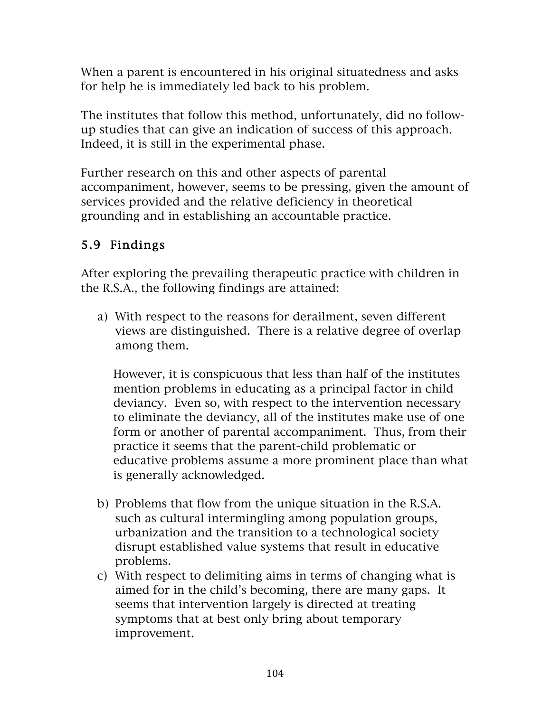When a parent is encountered in his original situatedness and asks for help he is immediately led back to his problem.

The institutes that follow this method, unfortunately, did no followup studies that can give an indication of success of this approach. Indeed, it is still in the experimental phase.

Further research on this and other aspects of parental accompaniment, however, seems to be pressing, given the amount of services provided and the relative deficiency in theoretical grounding and in establishing an accountable practice.

### 5.9 Findings

After exploring the prevailing therapeutic practice with children in the R.S.A., the following findings are attained:

a) With respect to the reasons for derailment, seven different views are distinguished. There is a relative degree of overlap among them.

However, it is conspicuous that less than half of the institutes mention problems in educating as a principal factor in child deviancy. Even so, with respect to the intervention necessary to eliminate the deviancy, all of the institutes make use of one form or another of parental accompaniment. Thus, from their practice it seems that the parent-child problematic or educative problems assume a more prominent place than what is generally acknowledged.

- b) Problems that flow from the unique situation in the R.S.A. such as cultural intermingling among population groups, urbanization and the transition to a technological society disrupt established value systems that result in educative problems.
- c) With respect to delimiting aims in terms of changing what is aimed for in the child's becoming, there are many gaps. It seems that intervention largely is directed at treating symptoms that at best only bring about temporary improvement.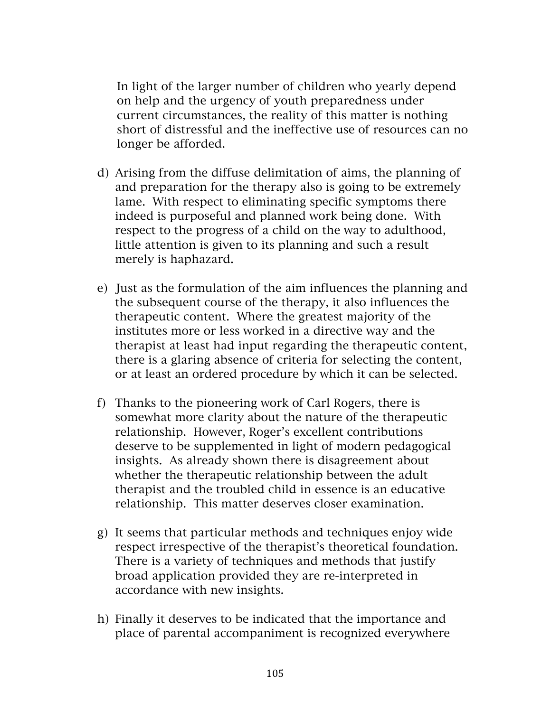In light of the larger number of children who yearly depend on help and the urgency of youth preparedness under current circumstances, the reality of this matter is nothing short of distressful and the ineffective use of resources can no longer be afforded.

- d) Arising from the diffuse delimitation of aims, the planning of and preparation for the therapy also is going to be extremely lame. With respect to eliminating specific symptoms there indeed is purposeful and planned work being done. With respect to the progress of a child on the way to adulthood, little attention is given to its planning and such a result merely is haphazard.
- e) Just as the formulation of the aim influences the planning and the subsequent course of the therapy, it also influences the therapeutic content. Where the greatest majority of the institutes more or less worked in a directive way and the therapist at least had input regarding the therapeutic content, there is a glaring absence of criteria for selecting the content, or at least an ordered procedure by which it can be selected.
- f) Thanks to the pioneering work of Carl Rogers, there is somewhat more clarity about the nature of the therapeutic relationship. However, Roger's excellent contributions deserve to be supplemented in light of modern pedagogical insights. As already shown there is disagreement about whether the therapeutic relationship between the adult therapist and the troubled child in essence is an educative relationship. This matter deserves closer examination.
- g) It seems that particular methods and techniques enjoy wide respect irrespective of the therapist's theoretical foundation. There is a variety of techniques and methods that justify broad application provided they are re-interpreted in accordance with new insights.
- h) Finally it deserves to be indicated that the importance and place of parental accompaniment is recognized everywhere